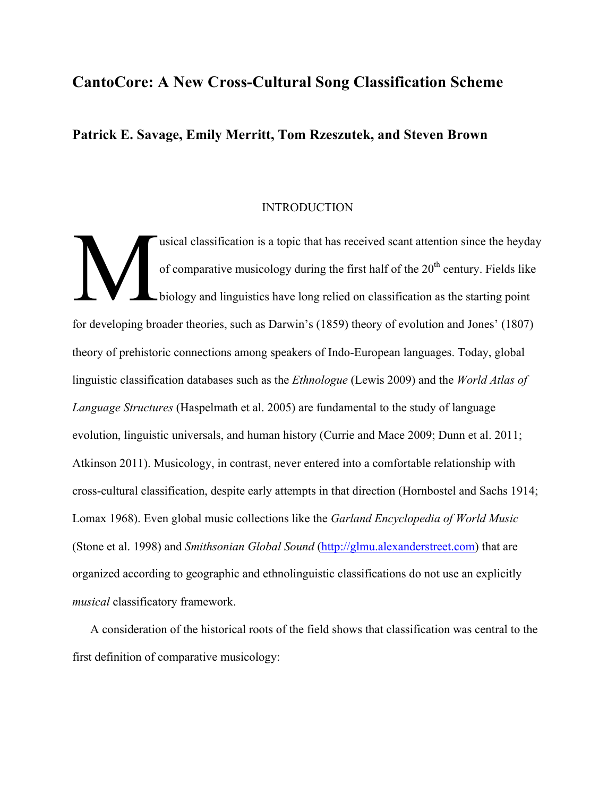# **CantoCore: A New Cross-Cultural Song Classification Scheme**

# **Patrick E. Savage, Emily Merritt, Tom Rzeszutek, and Steven Brown**

#### **INTRODUCTION**

usical classification is a topic that has received scant attention since the heyday of comparative musicology during the first half of the  $20<sup>th</sup>$  century. Fields like biology and linguistics have long relied on classification as the starting point for developing broader theories, such as Darwin's (1859) theory of evolution and Jones' (1807) theory of prehistoric connections among speakers of Indo-European languages. Today, global linguistic classification databases such as the *Ethnologue* (Lewis 2009) and the *World Atlas of Language Structures* (Haspelmath et al. 2005) are fundamental to the study of language evolution, linguistic universals, and human history (Currie and Mace 2009; Dunn et al. 2011; Atkinson 2011). Musicology, in contrast, never entered into a comfortable relationship with cross-cultural classification, despite early attempts in that direction (Hornbostel and Sachs 1914; Lomax 1968). Even global music collections like the *Garland Encyclopedia of World Music* (Stone et al. 1998) and *Smithsonian Global Sound* (http://glmu.alexanderstreet.com) that are organized according to geographic and ethnolinguistic classifications do not use an explicitly *musical* classificatory framework. M

A consideration of the historical roots of the field shows that classification was central to the first definition of comparative musicology: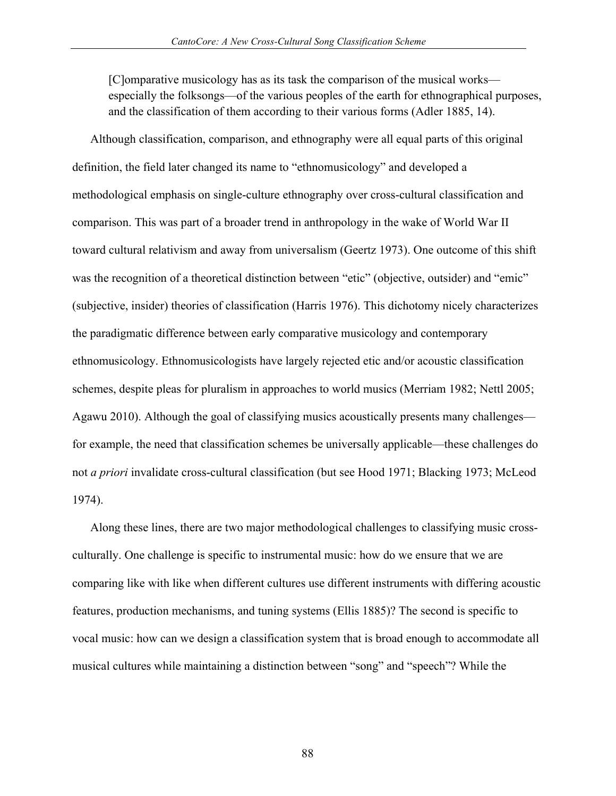[C]omparative musicology has as its task the comparison of the musical works especially the folksongs—of the various peoples of the earth for ethnographical purposes, and the classification of them according to their various forms (Adler 1885, 14).

Although classification, comparison, and ethnography were all equal parts of this original definition, the field later changed its name to "ethnomusicology" and developed a methodological emphasis on single-culture ethnography over cross-cultural classification and comparison. This was part of a broader trend in anthropology in the wake of World War II toward cultural relativism and away from universalism (Geertz 1973). One outcome of this shift was the recognition of a theoretical distinction between "etic" (objective, outsider) and "emic" (subjective, insider) theories of classification (Harris 1976). This dichotomy nicely characterizes the paradigmatic difference between early comparative musicology and contemporary ethnomusicology. Ethnomusicologists have largely rejected etic and/or acoustic classification schemes, despite pleas for pluralism in approaches to world musics (Merriam 1982; Nettl 2005; Agawu 2010). Although the goal of classifying musics acoustically presents many challenges for example, the need that classification schemes be universally applicable—these challenges do not *a priori* invalidate cross-cultural classification (but see Hood 1971; Blacking 1973; McLeod 1974).

Along these lines, there are two major methodological challenges to classifying music crossculturally. One challenge is specific to instrumental music: how do we ensure that we are comparing like with like when different cultures use different instruments with differing acoustic features, production mechanisms, and tuning systems (Ellis 1885)? The second is specific to vocal music: how can we design a classification system that is broad enough to accommodate all musical cultures while maintaining a distinction between "song" and "speech"? While the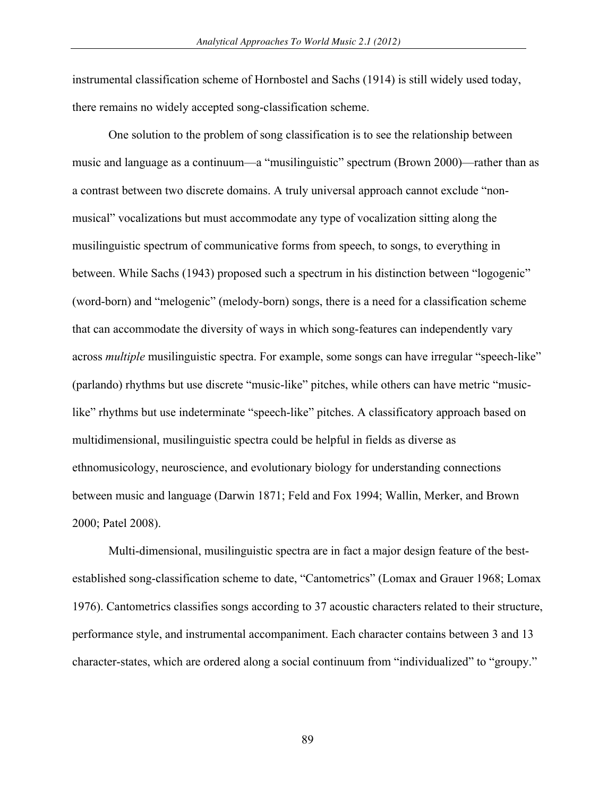instrumental classification scheme of Hornbostel and Sachs (1914) is still widely used today, there remains no widely accepted song-classification scheme.

One solution to the problem of song classification is to see the relationship between music and language as a continuum—a "musilinguistic" spectrum (Brown 2000)—rather than as a contrast between two discrete domains. A truly universal approach cannot exclude "nonmusical" vocalizations but must accommodate any type of vocalization sitting along the musilinguistic spectrum of communicative forms from speech, to songs, to everything in between. While Sachs (1943) proposed such a spectrum in his distinction between "logogenic" (word-born) and "melogenic" (melody-born) songs, there is a need for a classification scheme that can accommodate the diversity of ways in which song-features can independently vary across *multiple* musilinguistic spectra. For example, some songs can have irregular "speech-like" (parlando) rhythms but use discrete "music-like" pitches, while others can have metric "musiclike" rhythms but use indeterminate "speech-like" pitches. A classificatory approach based on multidimensional, musilinguistic spectra could be helpful in fields as diverse as ethnomusicology, neuroscience, and evolutionary biology for understanding connections between music and language (Darwin 1871; Feld and Fox 1994; Wallin, Merker, and Brown 2000; Patel 2008).

Multi-dimensional, musilinguistic spectra are in fact a major design feature of the bestestablished song-classification scheme to date, "Cantometrics" (Lomax and Grauer 1968; Lomax 1976). Cantometrics classifies songs according to 37 acoustic characters related to their structure, performance style, and instrumental accompaniment. Each character contains between 3 and 13 character-states, which are ordered along a social continuum from "individualized" to "groupy."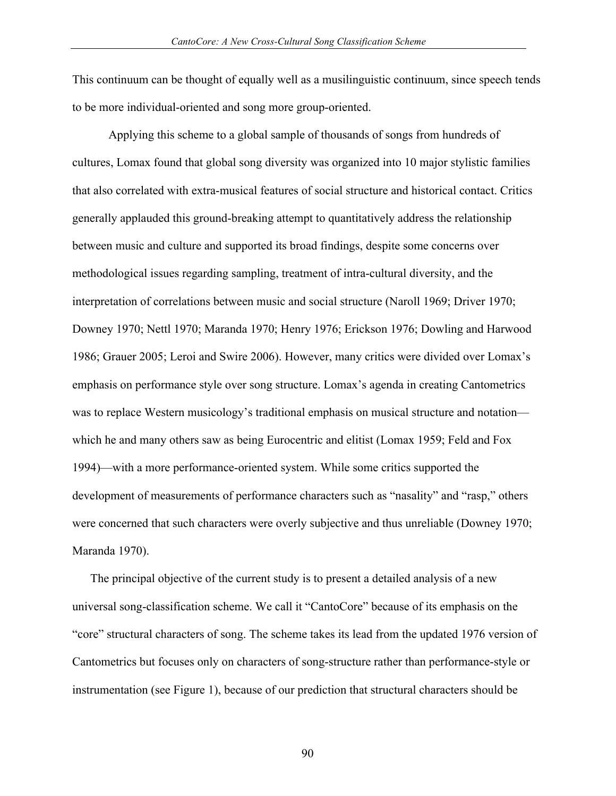This continuum can be thought of equally well as a musilinguistic continuum, since speech tends to be more individual-oriented and song more group-oriented.

Applying this scheme to a global sample of thousands of songs from hundreds of cultures, Lomax found that global song diversity was organized into 10 major stylistic families that also correlated with extra-musical features of social structure and historical contact. Critics generally applauded this ground-breaking attempt to quantitatively address the relationship between music and culture and supported its broad findings, despite some concerns over methodological issues regarding sampling, treatment of intra-cultural diversity, and the interpretation of correlations between music and social structure (Naroll 1969; Driver 1970; Downey 1970; Nettl 1970; Maranda 1970; Henry 1976; Erickson 1976; Dowling and Harwood 1986; Grauer 2005; Leroi and Swire 2006). However, many critics were divided over Lomax's emphasis on performance style over song structure. Lomax's agenda in creating Cantometrics was to replace Western musicology's traditional emphasis on musical structure and notation which he and many others saw as being Eurocentric and elitist (Lomax 1959; Feld and Fox 1994)—with a more performance-oriented system. While some critics supported the development of measurements of performance characters such as "nasality" and "rasp," others were concerned that such characters were overly subjective and thus unreliable (Downey 1970; Maranda 1970).

The principal objective of the current study is to present a detailed analysis of a new universal song-classification scheme. We call it "CantoCore" because of its emphasis on the "core" structural characters of song. The scheme takes its lead from the updated 1976 version of Cantometrics but focuses only on characters of song-structure rather than performance-style or instrumentation (see Figure 1), because of our prediction that structural characters should be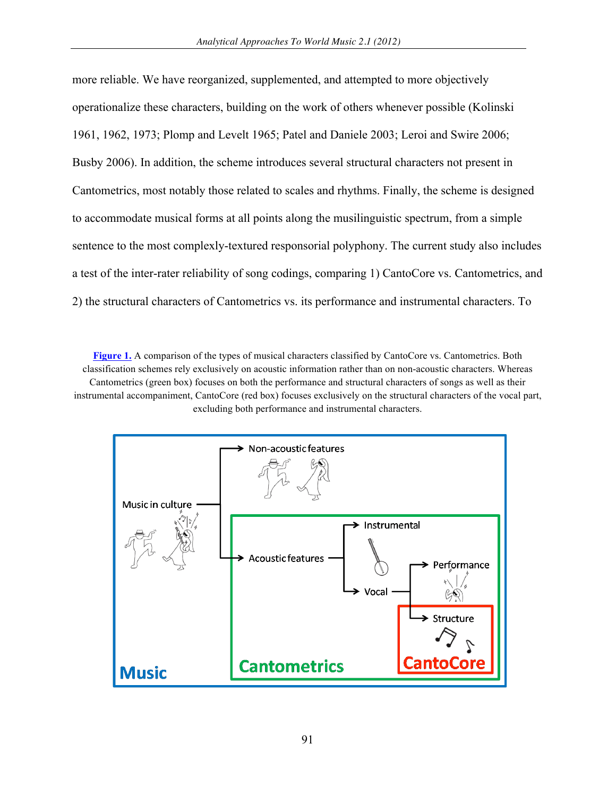more reliable. We have reorganized, supplemented, and attempted to more objectively operationalize these characters, building on the work of others whenever possible (Kolinski 1961, 1962, 1973; Plomp and Levelt 1965; Patel and Daniele 2003; Leroi and Swire 2006; Busby 2006). In addition, the scheme introduces several structural characters not present in Cantometrics, most notably those related to scales and rhythms. Finally, the scheme is designed to accommodate musical forms at all points along the musilinguistic spectrum, from a simple sentence to the most complexly-textured responsorial polyphony. The current study also includes a test of the inter-rater reliability of song codings, comparing 1) CantoCore vs. Cantometrics, and 2) the structural characters of Cantometrics vs. its performance and instrumental characters. To

**[Figure 1.](http://www.aawmjournal.com/examples/2012a/Savage_AAWM_Fig_1.pdf)** A comparison of the types of musical characters classified by CantoCore vs. Cantometrics. Both classification schemes rely exclusively on acoustic information rather than on non-acoustic characters. Whereas Cantometrics (green box) focuses on both the performance and structural characters of songs as well as their instrumental accompaniment, CantoCore (red box) focuses exclusively on the structural characters of the vocal part, excluding both performance and instrumental characters.

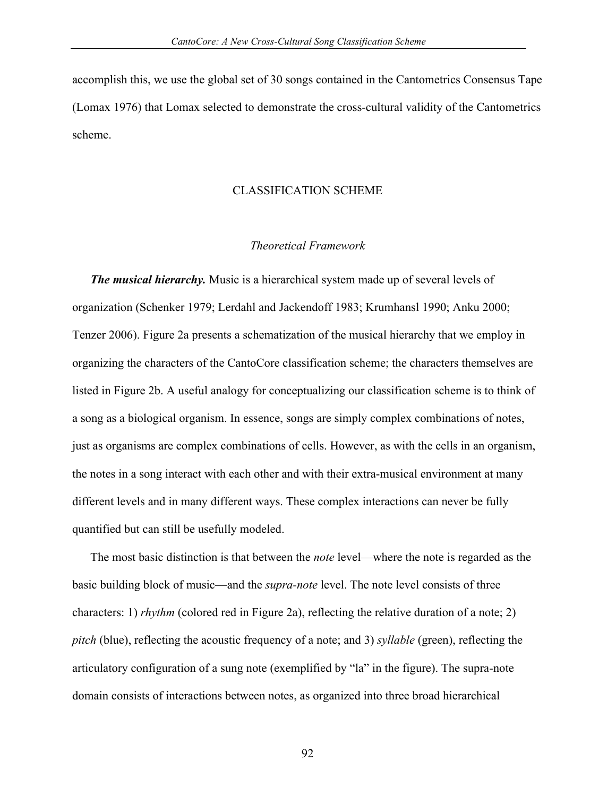accomplish this, we use the global set of 30 songs contained in the Cantometrics Consensus Tape (Lomax 1976) that Lomax selected to demonstrate the cross-cultural validity of the Cantometrics scheme.

#### CLASSIFICATION SCHEME

### *Theoretical Framework*

*The musical hierarchy.* Music is a hierarchical system made up of several levels of organization (Schenker 1979; Lerdahl and Jackendoff 1983; Krumhansl 1990; Anku 2000; Tenzer 2006). Figure 2a presents a schematization of the musical hierarchy that we employ in organizing the characters of the CantoCore classification scheme; the characters themselves are listed in Figure 2b. A useful analogy for conceptualizing our classification scheme is to think of a song as a biological organism. In essence, songs are simply complex combinations of notes, just as organisms are complex combinations of cells. However, as with the cells in an organism, the notes in a song interact with each other and with their extra-musical environment at many different levels and in many different ways. These complex interactions can never be fully quantified but can still be usefully modeled.

The most basic distinction is that between the *note* level—where the note is regarded as the basic building block of music—and the *supra-note* level. The note level consists of three characters: 1) *rhythm* (colored red in Figure 2a), reflecting the relative duration of a note; 2) *pitch* (blue), reflecting the acoustic frequency of a note; and 3) *syllable* (green), reflecting the articulatory configuration of a sung note (exemplified by "la" in the figure). The supra-note domain consists of interactions between notes, as organized into three broad hierarchical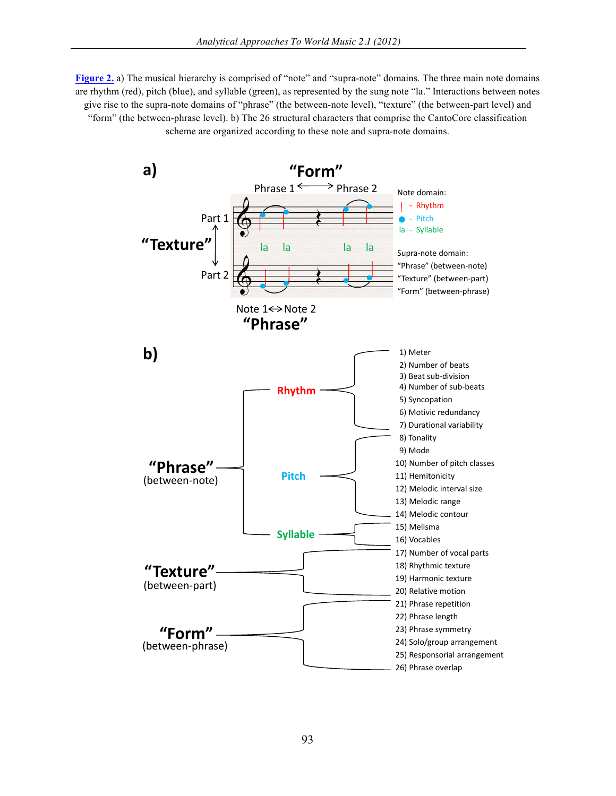**[Figure 2.](http://www.aawmjournal.com/examples/2012a/Savage_AAWM_Fig_2.pdf)** a) The musical hierarchy is comprised of "note" and "supra-note" domains. The three main note domains are rhythm (red), pitch (blue), and syllable (green), as represented by the sung note "la." Interactions between notes give rise to the supra-note domains of "phrase" (the between-note level), "texture" (the between-part level) and "form" (the between-phrase level). b) The 26 structural characters that comprise the CantoCore classification scheme are organized according to these note and supra-note domains.

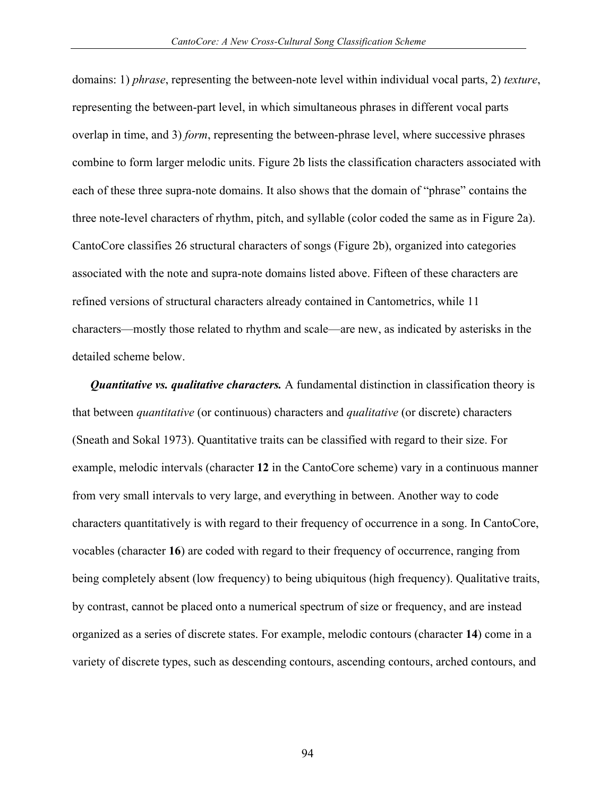domains: 1) *phrase*, representing the between-note level within individual vocal parts, 2) *texture*, representing the between-part level, in which simultaneous phrases in different vocal parts overlap in time, and 3) *form*, representing the between-phrase level, where successive phrases combine to form larger melodic units. Figure 2b lists the classification characters associated with each of these three supra-note domains. It also shows that the domain of "phrase" contains the three note-level characters of rhythm, pitch, and syllable (color coded the same as in Figure 2a). CantoCore classifies 26 structural characters of songs (Figure 2b), organized into categories associated with the note and supra-note domains listed above. Fifteen of these characters are refined versions of structural characters already contained in Cantometrics, while 11 characters—mostly those related to rhythm and scale—are new, as indicated by asterisks in the detailed scheme below.

*Quantitative vs. qualitative characters.* A fundamental distinction in classification theory is that between *quantitative* (or continuous) characters and *qualitative* (or discrete) characters (Sneath and Sokal 1973). Quantitative traits can be classified with regard to their size. For example, melodic intervals (character **12** in the CantoCore scheme) vary in a continuous manner from very small intervals to very large, and everything in between. Another way to code characters quantitatively is with regard to their frequency of occurrence in a song. In CantoCore, vocables (character **16**) are coded with regard to their frequency of occurrence, ranging from being completely absent (low frequency) to being ubiquitous (high frequency). Qualitative traits, by contrast, cannot be placed onto a numerical spectrum of size or frequency, and are instead organized as a series of discrete states. For example, melodic contours (character **14**) come in a variety of discrete types, such as descending contours, ascending contours, arched contours, and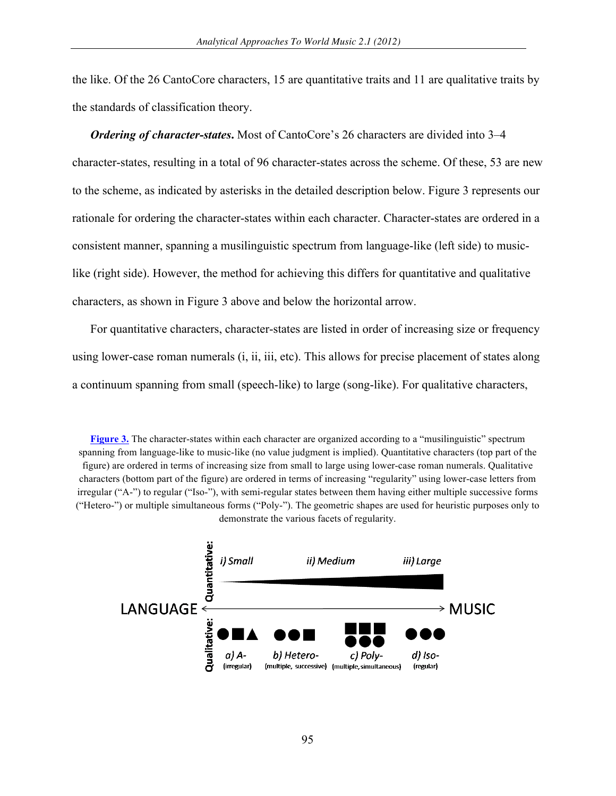the like. Of the 26 CantoCore characters, 15 are quantitative traits and 11 are qualitative traits by the standards of classification theory.

*Ordering of character-states***.** Most of CantoCore's 26 characters are divided into 3–4 character-states, resulting in a total of 96 character-states across the scheme. Of these, 53 are new to the scheme, as indicated by asterisks in the detailed description below. Figure 3 represents our rationale for ordering the character-states within each character. Character-states are ordered in a consistent manner, spanning a musilinguistic spectrum from language-like (left side) to musiclike (right side). However, the method for achieving this differs for quantitative and qualitative characters, as shown in Figure 3 above and below the horizontal arrow.

For quantitative characters, character-states are listed in order of increasing size or frequency using lower-case roman numerals (i, ii, iii, etc). This allows for precise placement of states along a continuum spanning from small (speech-like) to large (song-like). For qualitative characters,

**Figure 3.** The character-states within each character are organized according to a "musilinguistic" spectrum spanning from language-like to music-like (no value judgment is implied). Quantitative characters (top part of the fi[gure\) are o](http://www.aawmjournal.com/examples/2012a/Savage_AAWM_Fig_3.pdf)rdered in terms of increasing size from small to large using lower-case roman numerals. Qualitative characters (bottom part of the figure) are ordered in terms of increasing "regularity" using lower-case letters from irregular ("A-") to regular ("Iso-"), with semi-regular states between them having either multiple successive forms ("Hetero-") or multiple simultaneous forms ("Poly-"). The geometric shapes are used for heuristic purposes only to demonstrate the various facets of regularity.

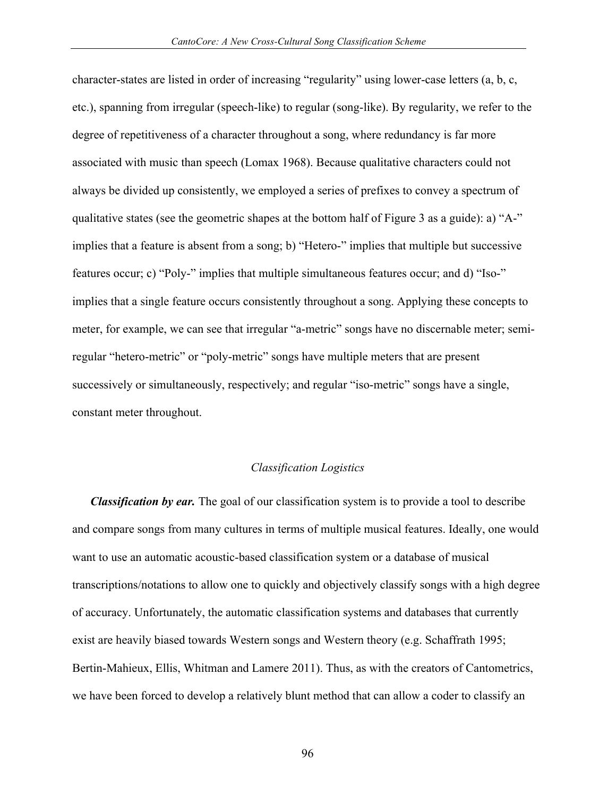character-states are listed in order of increasing "regularity" using lower-case letters (a, b, c, etc.), spanning from irregular (speech-like) to regular (song-like). By regularity, we refer to the degree of repetitiveness of a character throughout a song, where redundancy is far more associated with music than speech (Lomax 1968). Because qualitative characters could not always be divided up consistently, we employed a series of prefixes to convey a spectrum of qualitative states (see the geometric shapes at the bottom half of Figure 3 as a guide): a) "A-" implies that a feature is absent from a song; b) "Hetero-" implies that multiple but successive features occur; c) "Poly-" implies that multiple simultaneous features occur; and d) "Iso-" implies that a single feature occurs consistently throughout a song. Applying these concepts to meter, for example, we can see that irregular "a-metric" songs have no discernable meter; semiregular "hetero-metric" or "poly-metric" songs have multiple meters that are present successively or simultaneously, respectively; and regular "iso-metric" songs have a single, constant meter throughout.

#### *Classification Logistics*

*Classification by ear.* The goal of our classification system is to provide a tool to describe and compare songs from many cultures in terms of multiple musical features. Ideally, one would want to use an automatic acoustic-based classification system or a database of musical transcriptions/notations to allow one to quickly and objectively classify songs with a high degree of accuracy. Unfortunately, the automatic classification systems and databases that currently exist are heavily biased towards Western songs and Western theory (e.g. Schaffrath 1995; Bertin-Mahieux, Ellis, Whitman and Lamere 2011). Thus, as with the creators of Cantometrics, we have been forced to develop a relatively blunt method that can allow a coder to classify an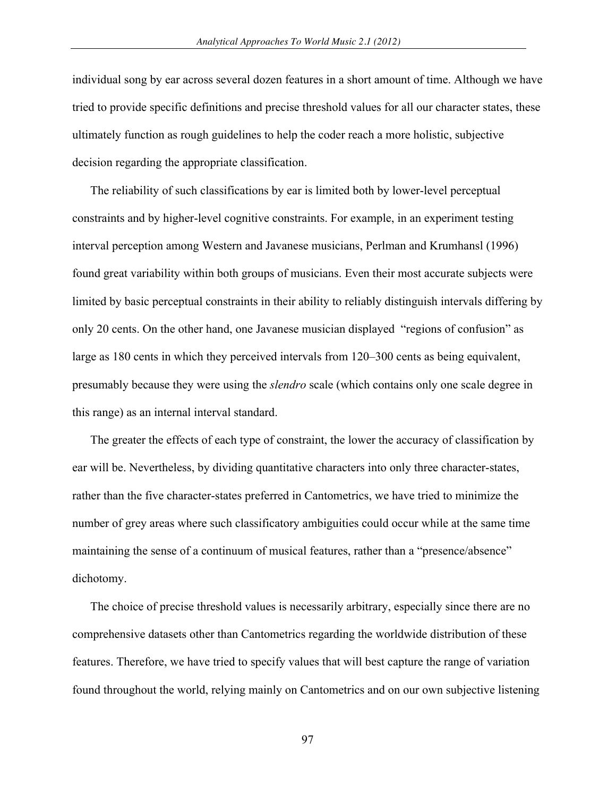individual song by ear across several dozen features in a short amount of time. Although we have tried to provide specific definitions and precise threshold values for all our character states, these ultimately function as rough guidelines to help the coder reach a more holistic, subjective decision regarding the appropriate classification.

The reliability of such classifications by ear is limited both by lower-level perceptual constraints and by higher-level cognitive constraints. For example, in an experiment testing interval perception among Western and Javanese musicians, Perlman and Krumhansl (1996) found great variability within both groups of musicians. Even their most accurate subjects were limited by basic perceptual constraints in their ability to reliably distinguish intervals differing by only 20 cents. On the other hand, one Javanese musician displayed "regions of confusion" as large as 180 cents in which they perceived intervals from 120–300 cents as being equivalent, presumably because they were using the *slendro* scale (which contains only one scale degree in this range) as an internal interval standard.

The greater the effects of each type of constraint, the lower the accuracy of classification by ear will be. Nevertheless, by dividing quantitative characters into only three character-states, rather than the five character-states preferred in Cantometrics, we have tried to minimize the number of grey areas where such classificatory ambiguities could occur while at the same time maintaining the sense of a continuum of musical features, rather than a "presence/absence" dichotomy.

The choice of precise threshold values is necessarily arbitrary, especially since there are no comprehensive datasets other than Cantometrics regarding the worldwide distribution of these features. Therefore, we have tried to specify values that will best capture the range of variation found throughout the world, relying mainly on Cantometrics and on our own subjective listening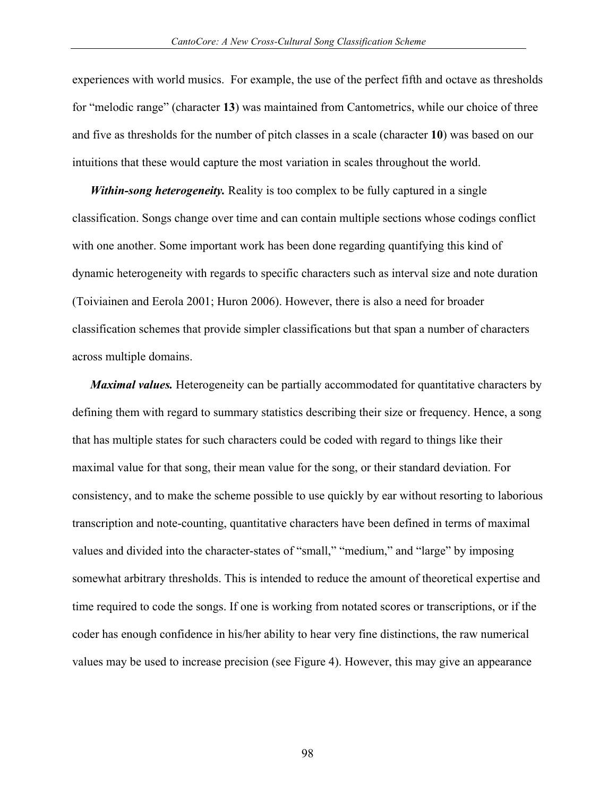experiences with world musics. For example, the use of the perfect fifth and octave as thresholds for "melodic range" (character **13**) was maintained from Cantometrics, while our choice of three and five as thresholds for the number of pitch classes in a scale (character **10**) was based on our intuitions that these would capture the most variation in scales throughout the world.

*Within-song heterogeneity.* Reality is too complex to be fully captured in a single classification. Songs change over time and can contain multiple sections whose codings conflict with one another. Some important work has been done regarding quantifying this kind of dynamic heterogeneity with regards to specific characters such as interval size and note duration (Toiviainen and Eerola 2001; Huron 2006). However, there is also a need for broader classification schemes that provide simpler classifications but that span a number of characters across multiple domains.

*Maximal values.* Heterogeneity can be partially accommodated for quantitative characters by defining them with regard to summary statistics describing their size or frequency. Hence, a song that has multiple states for such characters could be coded with regard to things like their maximal value for that song, their mean value for the song, or their standard deviation. For consistency, and to make the scheme possible to use quickly by ear without resorting to laborious transcription and note-counting, quantitative characters have been defined in terms of maximal values and divided into the character-states of "small," "medium," and "large" by imposing somewhat arbitrary thresholds. This is intended to reduce the amount of theoretical expertise and time required to code the songs. If one is working from notated scores or transcriptions, or if the coder has enough confidence in his/her ability to hear very fine distinctions, the raw numerical values may be used to increase precision (see Figure 4). However, this may give an appearance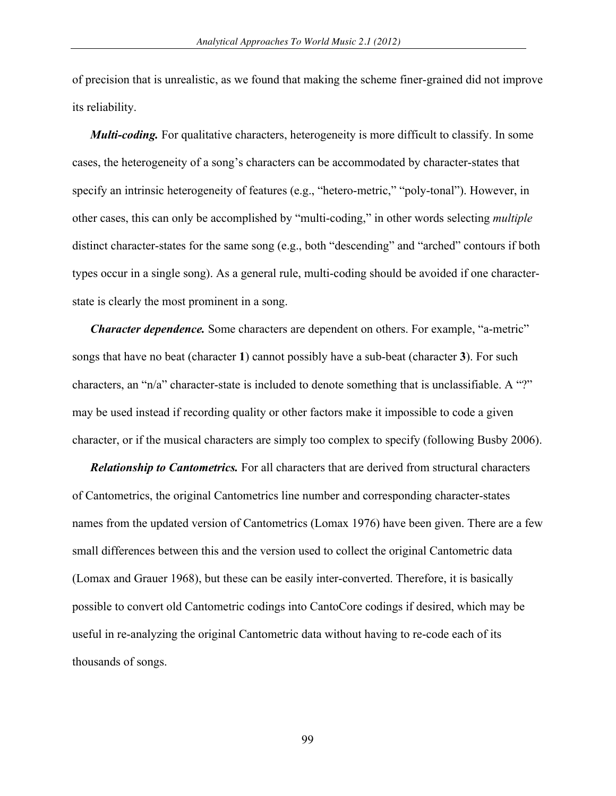of precision that is unrealistic, as we found that making the scheme finer-grained did not improve its reliability.

*Multi-coding.* For qualitative characters, heterogeneity is more difficult to classify. In some cases, the heterogeneity of a song's characters can be accommodated by character-states that specify an intrinsic heterogeneity of features (e.g., "hetero-metric," "poly-tonal"). However, in other cases, this can only be accomplished by "multi-coding," in other words selecting *multiple* distinct character-states for the same song (e.g., both "descending" and "arched" contours if both types occur in a single song). As a general rule, multi-coding should be avoided if one characterstate is clearly the most prominent in a song.

*Character dependence.* Some characters are dependent on others. For example, "a-metric" songs that have no beat (character **1**) cannot possibly have a sub-beat (character **3**). For such characters, an "n/a" character-state is included to denote something that is unclassifiable. A "?" may be used instead if recording quality or other factors make it impossible to code a given character, or if the musical characters are simply too complex to specify (following Busby 2006).

*Relationship to Cantometrics.* For all characters that are derived from structural characters of Cantometrics, the original Cantometrics line number and corresponding character-states names from the updated version of Cantometrics (Lomax 1976) have been given. There are a few small differences between this and the version used to collect the original Cantometric data (Lomax and Grauer 1968), but these can be easily inter-converted. Therefore, it is basically possible to convert old Cantometric codings into CantoCore codings if desired, which may be useful in re-analyzing the original Cantometric data without having to re-code each of its thousands of songs.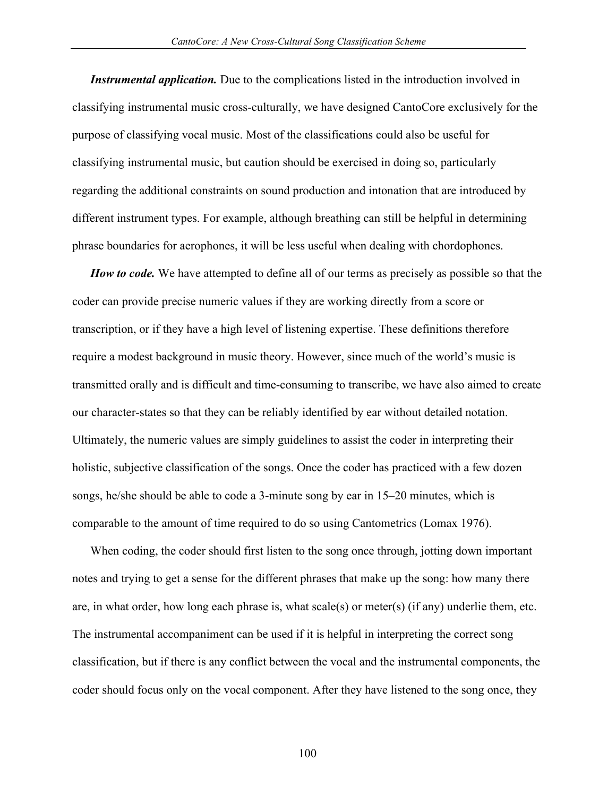*Instrumental application.* Due to the complications listed in the introduction involved in classifying instrumental music cross-culturally, we have designed CantoCore exclusively for the purpose of classifying vocal music. Most of the classifications could also be useful for classifying instrumental music, but caution should be exercised in doing so, particularly regarding the additional constraints on sound production and intonation that are introduced by different instrument types. For example, although breathing can still be helpful in determining phrase boundaries for aerophones, it will be less useful when dealing with chordophones.

*How to code.* We have attempted to define all of our terms as precisely as possible so that the coder can provide precise numeric values if they are working directly from a score or transcription, or if they have a high level of listening expertise. These definitions therefore require a modest background in music theory. However, since much of the world's music is transmitted orally and is difficult and time-consuming to transcribe, we have also aimed to create our character-states so that they can be reliably identified by ear without detailed notation. Ultimately, the numeric values are simply guidelines to assist the coder in interpreting their holistic, subjective classification of the songs. Once the coder has practiced with a few dozen songs, he/she should be able to code a 3-minute song by ear in 15–20 minutes, which is comparable to the amount of time required to do so using Cantometrics (Lomax 1976).

When coding, the coder should first listen to the song once through, jotting down important notes and trying to get a sense for the different phrases that make up the song: how many there are, in what order, how long each phrase is, what scale(s) or meter(s) (if any) underlie them, etc. The instrumental accompaniment can be used if it is helpful in interpreting the correct song classification, but if there is any conflict between the vocal and the instrumental components, the coder should focus only on the vocal component. After they have listened to the song once, they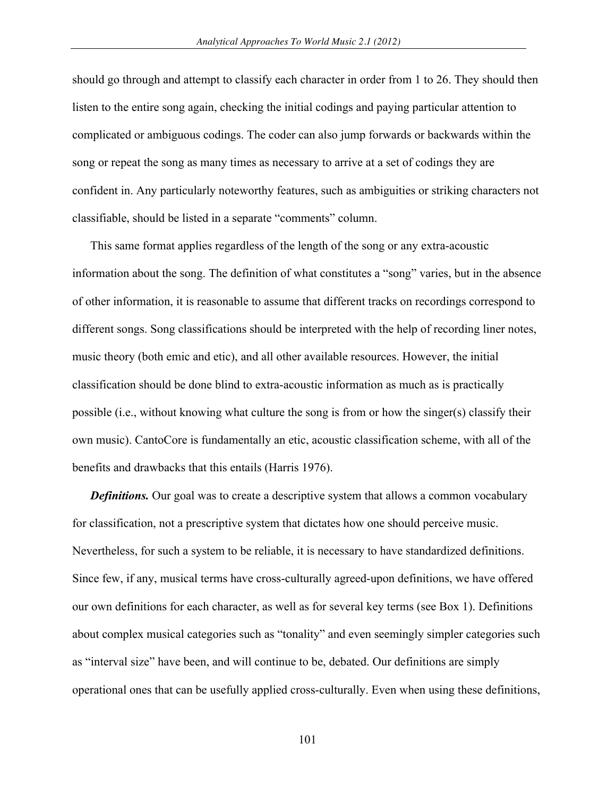should go through and attempt to classify each character in order from 1 to 26. They should then listen to the entire song again, checking the initial codings and paying particular attention to complicated or ambiguous codings. The coder can also jump forwards or backwards within the song or repeat the song as many times as necessary to arrive at a set of codings they are confident in. Any particularly noteworthy features, such as ambiguities or striking characters not classifiable, should be listed in a separate "comments" column.

This same format applies regardless of the length of the song or any extra-acoustic information about the song. The definition of what constitutes a "song" varies, but in the absence of other information, it is reasonable to assume that different tracks on recordings correspond to different songs. Song classifications should be interpreted with the help of recording liner notes, music theory (both emic and etic), and all other available resources. However, the initial classification should be done blind to extra-acoustic information as much as is practically possible (i.e., without knowing what culture the song is from or how the singer(s) classify their own music). CantoCore is fundamentally an etic, acoustic classification scheme, with all of the benefits and drawbacks that this entails (Harris 1976).

*Definitions.* Our goal was to create a descriptive system that allows a common vocabulary for classification, not a prescriptive system that dictates how one should perceive music. Nevertheless, for such a system to be reliable, it is necessary to have standardized definitions. Since few, if any, musical terms have cross-culturally agreed-upon definitions, we have offered our own definitions for each character, as well as for several key terms (see Box 1). Definitions about complex musical categories such as "tonality" and even seemingly simpler categories such as "interval size" have been, and will continue to be, debated. Our definitions are simply operational ones that can be usefully applied cross-culturally. Even when using these definitions,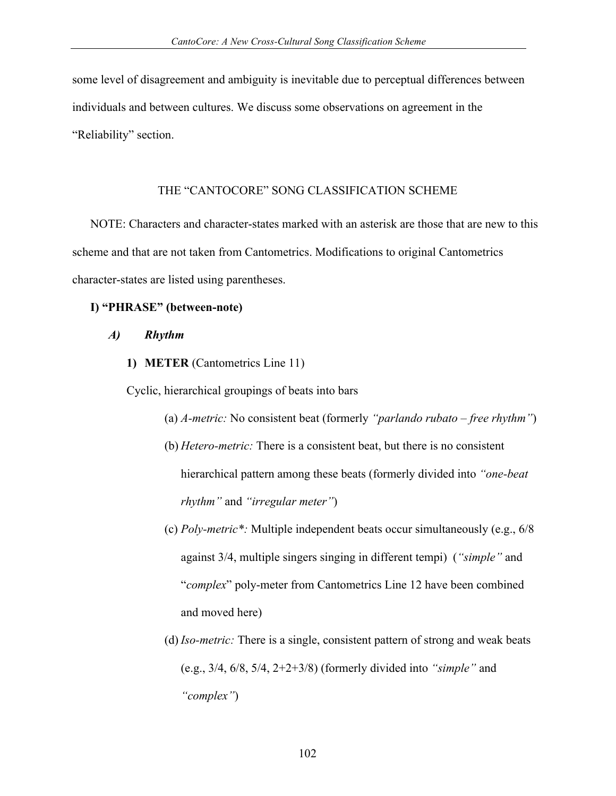some level of disagreement and ambiguity is inevitable due to perceptual differences between individuals and between cultures. We discuss some observations on agreement in the "Reliability" section.

## THE "CANTOCORE" SONG CLASSIFICATION SCHEME

NOTE: Characters and character-states marked with an asterisk are those that are new to this scheme and that are not taken from Cantometrics. Modifications to original Cantometrics character-states are listed using parentheses.

## **I) "PHRASE" (between-note)**

- *A) Rhythm*
	- **1) METER** (Cantometrics Line 11)

Cyclic, hierarchical groupings of beats into bars

- (a) *A-metric:* No consistent beat (formerly *"parlando rubato – free rhythm"*)
- (b) *Hetero-metric:* There is a consistent beat, but there is no consistent hierarchical pattern among these beats (formerly divided into *"one-beat rhythm"* and *"irregular meter"*)
- (c) *Poly-metric\*:* Multiple independent beats occur simultaneously (e.g., 6/8 against 3/4, multiple singers singing in different tempi) (*"simple"* and "*complex*" poly-meter from Cantometrics Line 12 have been combined and moved here)
- (d) *Iso-metric:* There is a single, consistent pattern of strong and weak beats (e.g., 3/4, 6/8, 5/4, 2+2+3/8) (formerly divided into *"simple"* and *"complex"*)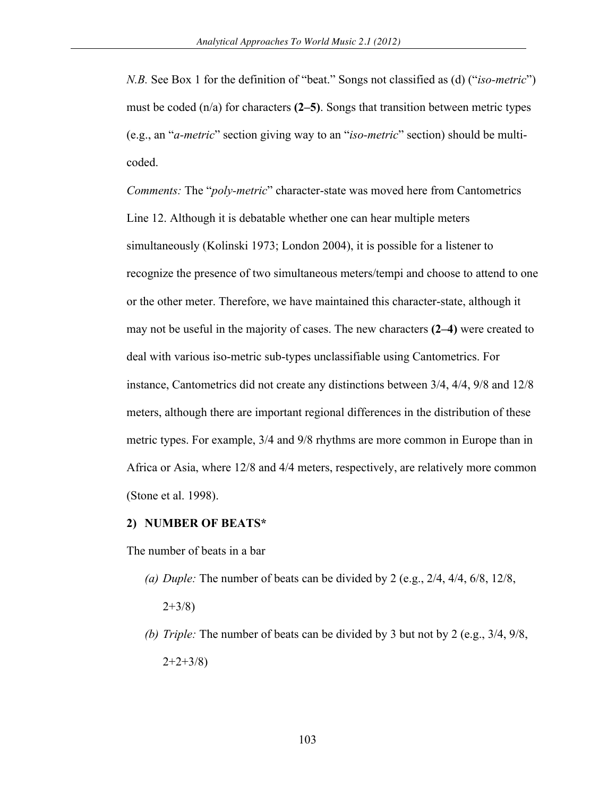*N.B.* See Box 1 for the definition of "beat." Songs not classified as (d) ("*iso-metric*") must be coded  $(n/a)$  for characters  $(2-5)$ . Songs that transition between metric types (e.g., an "*a-metric*" section giving way to an "*iso-metric*" section) should be multicoded.

*Comments:* The "*poly-metric*" character-state was moved here from Cantometrics Line 12. Although it is debatable whether one can hear multiple meters simultaneously (Kolinski 1973; London 2004), it is possible for a listener to recognize the presence of two simultaneous meters/tempi and choose to attend to one or the other meter. Therefore, we have maintained this character-state, although it may not be useful in the majority of cases. The new characters **(2–4)** were created to deal with various iso-metric sub-types unclassifiable using Cantometrics. For instance, Cantometrics did not create any distinctions between 3/4, 4/4, 9/8 and 12/8 meters, although there are important regional differences in the distribution of these metric types. For example, 3/4 and 9/8 rhythms are more common in Europe than in Africa or Asia, where 12/8 and 4/4 meters, respectively, are relatively more common (Stone et al. 1998).

#### **2) NUMBER OF BEATS\***

The number of beats in a bar

*(a) Duple:* The number of beats can be divided by 2 (e.g., 2/4, 4/4, 6/8, 12/8,

 $2+3/8$ 

*(b) Triple:* The number of beats can be divided by 3 but not by 2 (e.g., 3/4, 9/8,  $2+2+3/8$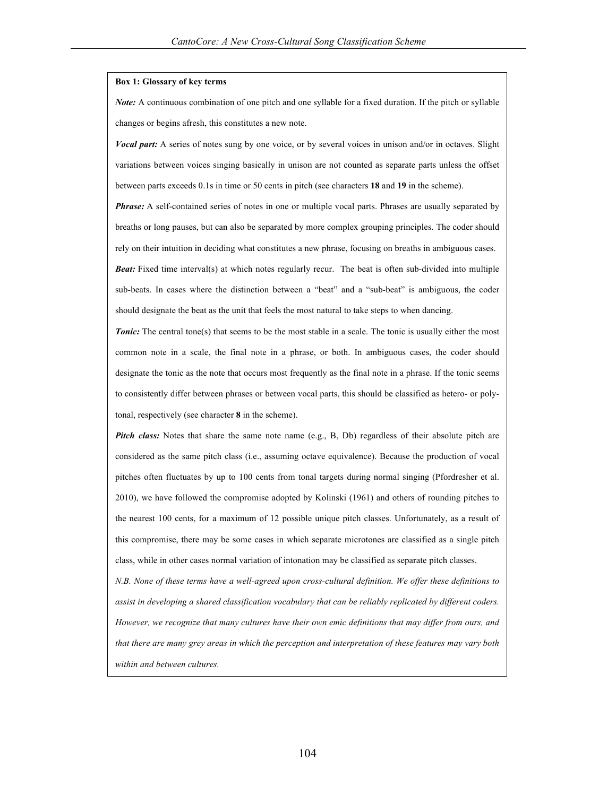#### **Box 1: Glossary of key terms**

*Note:* A continuous combination of one pitch and one syllable for a fixed duration. If the pitch or syllable changes or begins afresh, this constitutes a new note.

*Vocal part:* A series of notes sung by one voice, or by several voices in unison and/or in octaves. Slight variations between voices singing basically in unison are not counted as separate parts unless the offset between parts exceeds 0.1s in time or 50 cents in pitch (see characters **18** and **19** in the scheme).

*Phrase:* A self-contained series of notes in one or multiple vocal parts. Phrases are usually separated by breaths or long pauses, but can also be separated by more complex grouping principles. The coder should rely on their intuition in deciding what constitutes a new phrase, focusing on breaths in ambiguous cases. *Beat:* Fixed time interval(s) at which notes regularly recur. The beat is often sub-divided into multiple sub-beats. In cases where the distinction between a "beat" and a "sub-beat" is ambiguous, the coder should designate the beat as the unit that feels the most natural to take steps to when dancing.

**Tonic:** The central tone(s) that seems to be the most stable in a scale. The tonic is usually either the most common note in a scale, the final note in a phrase, or both. In ambiguous cases, the coder should designate the tonic as the note that occurs most frequently as the final note in a phrase. If the tonic seems to consistently differ between phrases or between vocal parts, this should be classified as hetero- or polytonal, respectively (see character **8** in the scheme).

*Pitch class:* Notes that share the same note name (e.g., B, Db) regardless of their absolute pitch are considered as the same pitch class (i.e., assuming octave equivalence). Because the production of vocal pitches often fluctuates by up to 100 cents from tonal targets during normal singing (Pfordresher et al. 2010), we have followed the compromise adopted by Kolinski (1961) and others of rounding pitches to the nearest 100 cents, for a maximum of 12 possible unique pitch classes. Unfortunately, as a result of this compromise, there may be some cases in which separate microtones are classified as a single pitch class, while in other cases normal variation of intonation may be classified as separate pitch classes.

*N.B. None of these terms have a well-agreed upon cross-cultural definition. We offer these definitions to assist in developing a shared classification vocabulary that can be reliably replicated by different coders. However, we recognize that many cultures have their own emic definitions that may differ from ours, and that there are many grey areas in which the perception and interpretation of these features may vary both within and between cultures.*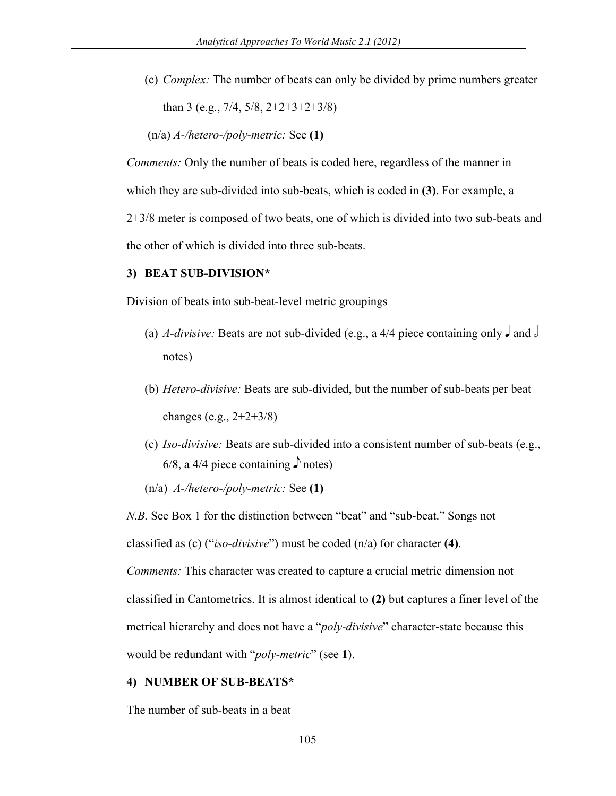(c) *Complex:* The number of beats can only be divided by prime numbers greater than 3 (e.g., 7/4, 5/8, 2+2+3+2+3/8)

(n/a) *A-/hetero-/poly-metric:* See **(1)**

*Comments:* Only the number of beats is coded here, regardless of the manner in which they are sub-divided into sub-beats, which is coded in **(3)**. For example, a 2+3/8 meter is composed of two beats, one of which is divided into two sub-beats and the other of which is divided into three sub-beats.

#### **3) BEAT SUB-DIVISION\***

Division of beats into sub-beat-level metric groupings

- (a) *A-divisive:* Beats are not sub-divided (e.g., a 4/4 piece containing only  $\Box$  and  $\Box$ notes)
- (b) *Hetero-divisive:* Beats are sub-divided, but the number of sub-beats per beat changes (e.g., 2+2+3/8)
- (c) *Iso-divisive:* Beats are sub-divided into a consistent number of sub-beats (e.g., 6/8, a 4/4 piece containing  $\delta$  notes)

(n/a) *A-/hetero-/poly-metric:* See **(1)**

*N.B.* See Box 1 for the distinction between "beat" and "sub-beat." Songs not

classified as (c) ("*iso-divisive*") must be coded (n/a) for character **(4)**.

*Comments:* This character was created to capture a crucial metric dimension not classified in Cantometrics. It is almost identical to **(2)** but captures a finer level of the metrical hierarchy and does not have a "*poly-divisive*" character-state because this would be redundant with "*poly-metric*" (see **1**).

#### **4) NUMBER OF SUB-BEATS\***

The number of sub-beats in a beat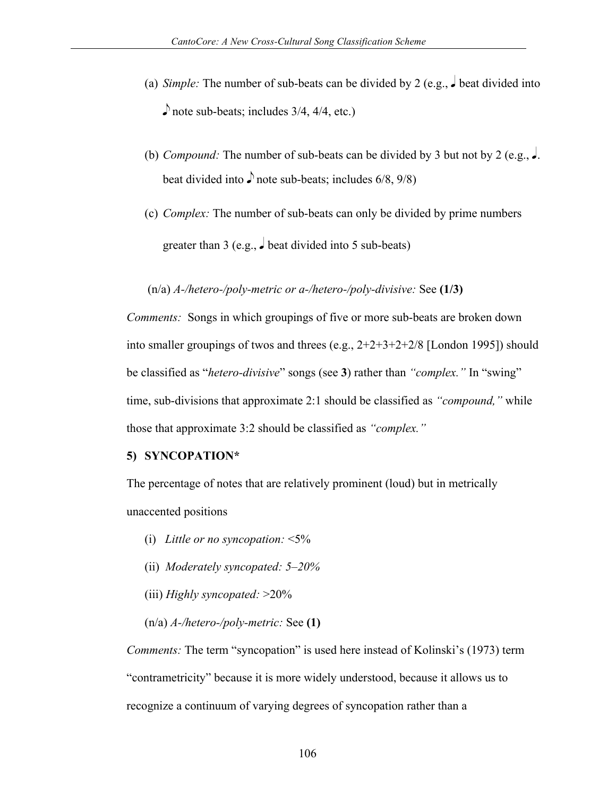- (a) *Simple:* The number of sub-beats can be divided by 2 (e.g.,  $\bullet$  beat divided into  $\log$  note sub-beats; includes 3/4, 4/4, etc.)
- (b) *Compound:* The number of sub-beats can be divided by 3 but not by 2 (e.g.,  $\bullet$ . beat divided into  $\sqrt{ }$  note sub-beats; includes 6/8, 9/8)
- (c) *Complex:* The number of sub-beats can only be divided by prime numbers greater than 3 (e.g.,  $\frac{1}{2}$  beat divided into 5 sub-beats)

### (n/a) *A-/hetero-/poly-metric or a-/hetero-/poly-divisive:* See **(1/3)**

*Comments:* Songs in which groupings of five or more sub-beats are broken down into smaller groupings of twos and threes (e.g., 2+2+3+2+2/8 [London 1995]) should be classified as "*hetero-divisive*" songs (see **3**) rather than *"complex."* In "swing" time, sub-divisions that approximate 2:1 should be classified as *"compound,"* while those that approximate 3:2 should be classified as *"complex."*

## **5) SYNCOPATION\***

The percentage of notes that are relatively prominent (loud) but in metrically unaccented positions

- (i) *Little or no syncopation:* <5%
- (ii) *Moderately syncopated: 5–20%*
- (iii) *Highly syncopated:* >20%
- (n/a) *A-/hetero-/poly-metric:* See **(1)**

*Comments:* The term "syncopation" is used here instead of Kolinski's (1973) term "contrametricity" because it is more widely understood, because it allows us to recognize a continuum of varying degrees of syncopation rather than a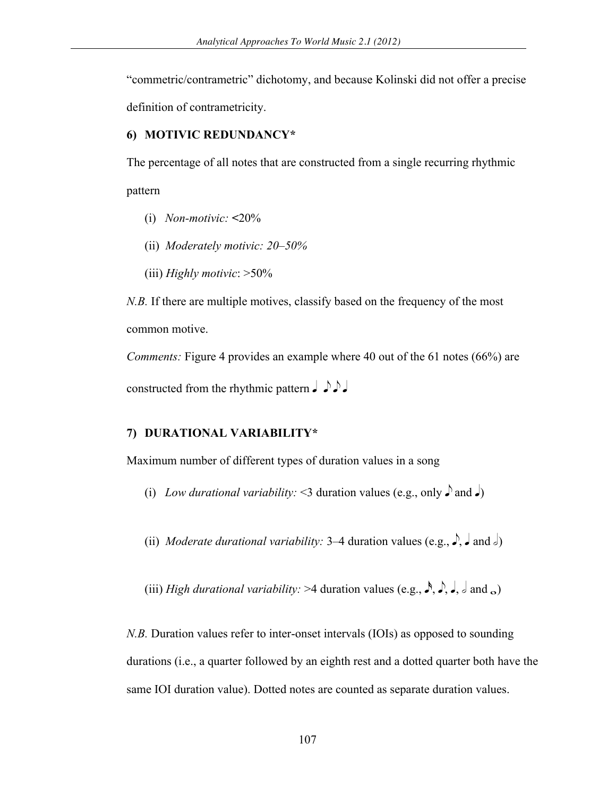"commetric/contrametric" dichotomy, and because Kolinski did not offer a precise definition of contrametricity.

#### **6) MOTIVIC REDUNDANCY\***

The percentage of all notes that are constructed from a single recurring rhythmic pattern

- (i) *Non-motivic:* **<**20%
- (ii) *Moderately motivic: 20–50%*
- (iii) *Highly motivic*: >50%

*N.B.* If there are multiple motives, classify based on the frequency of the most common motive.

*Comments:* Figure 4 provides an example where 40 out of the 61 notes (66%) are constructed from the rhythmic pattern  $J \rightharpoonup J$ 

### **7) DURATIONAL VARIABILITY\***

Maximum number of different types of duration values in a song

- (i) *Low durational variability:* <3 duration values (e.g., only  $\int$  and  $\int$ )
- (ii) *Moderate durational variability:* 3–4 duration values (e.g.,  $\rightarrow$ ,  $\rightarrow$  and  $\rightarrow$ )
- (iii) *High durational variability:* >4 duration values (e.g.,  $\rightarrow$ ,  $\rightarrow$ ,  $\rightarrow$ ,  $\rightarrow$  and  $\rightarrow$ )

*N.B.* Duration values refer to inter-onset intervals (IOIs) as opposed to sounding durations (i.e., a quarter followed by an eighth rest and a dotted quarter both have the same IOI duration value). Dotted notes are counted as separate duration values.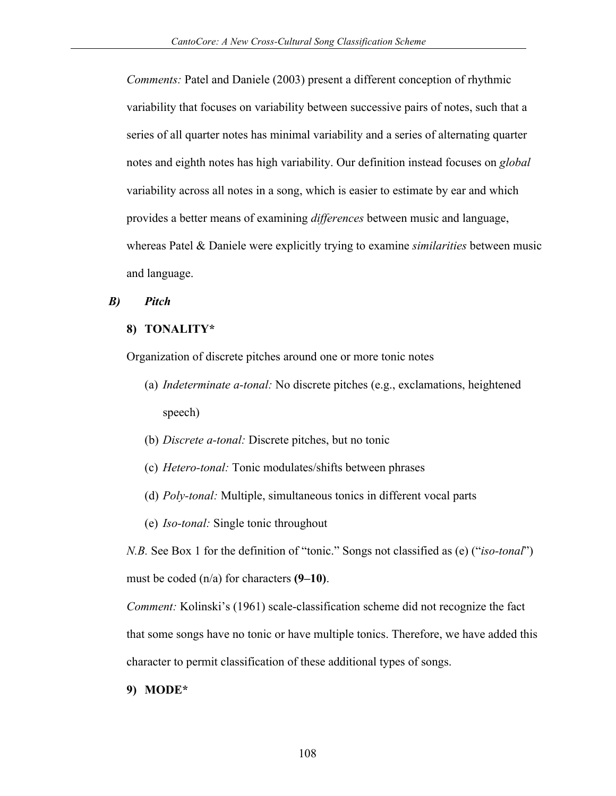*Comments:* Patel and Daniele (2003) present a different conception of rhythmic variability that focuses on variability between successive pairs of notes, such that a series of all quarter notes has minimal variability and a series of alternating quarter notes and eighth notes has high variability. Our definition instead focuses on *global* variability across all notes in a song, which is easier to estimate by ear and which provides a better means of examining *differences* between music and language, whereas Patel & Daniele were explicitly trying to examine *similarities* between music and language.

## *B) Pitch*

### **8) TONALITY\***

Organization of discrete pitches around one or more tonic notes

- (a) *Indeterminate a-tonal:* No discrete pitches (e.g., exclamations, heightened speech)
- (b) *Discrete a-tonal:* Discrete pitches, but no tonic
- (c) *Hetero-tonal:* Tonic modulates/shifts between phrases
- (d) *Poly-tonal:* Multiple, simultaneous tonics in different vocal parts
- (e) *Iso-tonal:* Single tonic throughout

*N.B.* See Box 1 for the definition of "tonic." Songs not classified as (e) ("*iso-tonal*") must be coded (n/a) for characters **(9–10)**.

*Comment:* Kolinski's (1961) scale-classification scheme did not recognize the fact that some songs have no tonic or have multiple tonics. Therefore, we have added this character to permit classification of these additional types of songs.

#### **9) MODE\***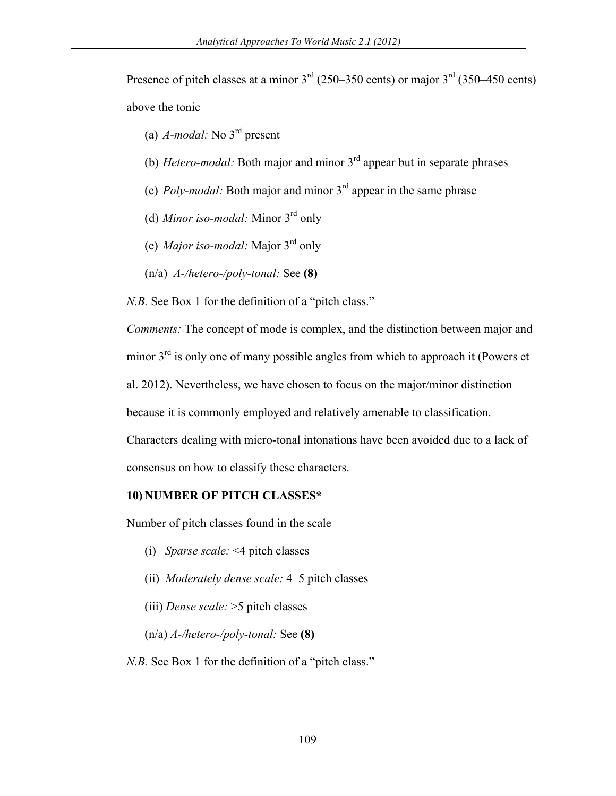Presence of pitch classes at a minor  $3<sup>rd</sup>$  (250–350 cents) or major  $3<sup>rd</sup>$  (350–450 cents) above the tonic

- (a) *A-modal:* No 3rd present
- (b) *Hetero-modal:* Both major and minor 3rd appear but in separate phrases
- (c) *Poly-modal:* Both major and minor 3rd appear in the same phrase
- (d) *Minor iso-modal:* Minor 3rd only
- (e) *Major iso-modal:* Major 3rd only
- (n/a) *A-/hetero-/poly-tonal:* See **(8)**

*N.B.* See Box 1 for the definition of a "pitch class."

*Comments:* The concept of mode is complex, and the distinction between major and minor  $3<sup>rd</sup>$  is only one of many possible angles from which to approach it (Powers et

al. 2012). Nevertheless, we have chosen to focus on the major/minor distinction

because it is commonly employed and relatively amenable to classification.

Characters dealing with micro-tonal intonations have been avoided due to a lack of consensus on how to classify these characters.

#### **10) NUMBER OF PITCH CLASSES\***

Number of pitch classes found in the scale

- (i) *Sparse scale:* <4 pitch classes
- (ii) *Moderately dense scale:* 4–5 pitch classes
- (iii) *Dense scale:* >5 pitch classes
- (n/a) *A-/hetero-/poly-tonal:* See **(8)**

*N.B.* See Box 1 for the definition of a "pitch class."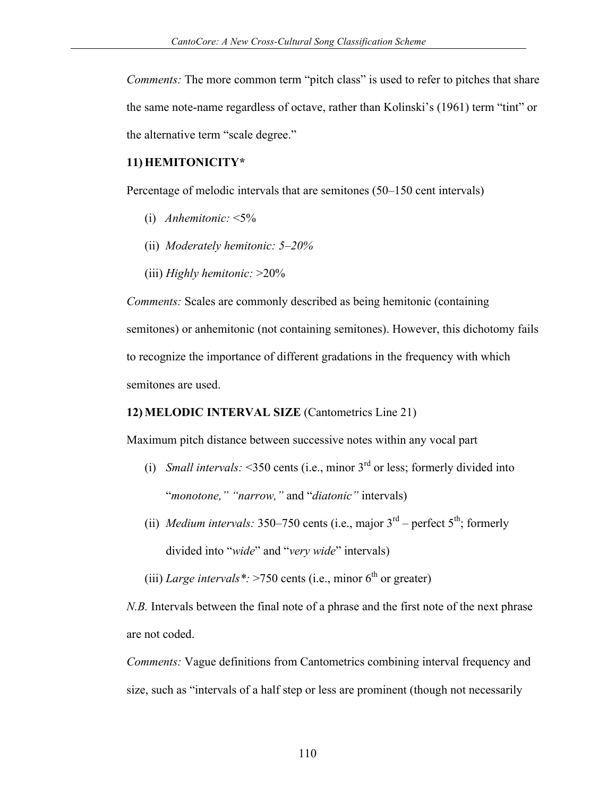*Comments:* The more common term "pitch class" is used to refer to pitches that share the same note-name regardless of octave, rather than Kolinski's (1961) term "tint" or the alternative term "scale degree."

## **11) HEMITONICITY\***

Percentage of melodic intervals that are semitones (50–150 cent intervals)

- (i) *Anhemitonic:* <5%
- (ii) *Moderately hemitonic: 5–20%*
- (iii) *Highly hemitonic:* >20%

*Comments:* Scales are commonly described as being hemitonic (containing semitones) or anhemitonic (not containing semitones). However, this dichotomy fails to recognize the importance of different gradations in the frequency with which semitones are used.

## **12) MELODIC INTERVAL SIZE** (Cantometrics Line 21)

Maximum pitch distance between successive notes within any vocal part

- (i) *Small intervals:*  $\leq$ 350 cents (i.e., minor 3<sup>rd</sup> or less; formerly divided into "*monotone," "narrow,"* and "*diatonic"* intervals)
- (ii) *Medium intervals:* 350–750 cents (i.e., major  $3<sup>rd</sup>$  perfect  $5<sup>th</sup>$ ; formerly divided into "*wide*" and "*very wide*" intervals)

(iii) *Large intervals*\*:  $>750$  cents (i.e., minor 6<sup>th</sup> or greater)

*N.B.* Intervals between the final note of a phrase and the first note of the next phrase are not coded.

*Comments:* Vague definitions from Cantometrics combining interval frequency and size, such as "intervals of a half step or less are prominent (though not necessarily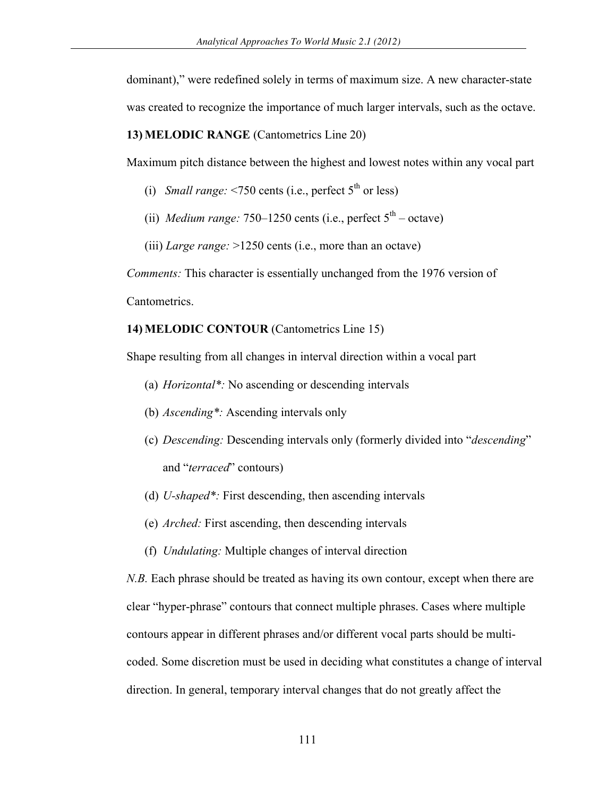dominant)," were redefined solely in terms of maximum size. A new character-state was created to recognize the importance of much larger intervals, such as the octave.

**13) MELODIC RANGE** (Cantometrics Line 20)

Maximum pitch distance between the highest and lowest notes within any vocal part

- (i) *Small range:*  $\leq$ 750 cents (i.e., perfect  $5^{\text{th}}$  or less)
- (ii) *Medium range:*  $750-1250$  cents (i.e., perfect  $5<sup>th</sup> \text{octave}$ )

(iii) *Large range:* >1250 cents (i.e., more than an octave)

*Comments:* This character is essentially unchanged from the 1976 version of Cantometrics.

#### **14) MELODIC CONTOUR** (Cantometrics Line 15)

Shape resulting from all changes in interval direction within a vocal part

- (a) *Horizontal\*:* No ascending or descending intervals
- (b) *Ascending\*:* Ascending intervals only
- (c) *Descending:* Descending intervals only (formerly divided into "*descending*" and "*terraced*" contours)
- (d) *U-shaped\*:* First descending, then ascending intervals
- (e) *Arched:* First ascending, then descending intervals
- (f) *Undulating:* Multiple changes of interval direction

*N.B.* Each phrase should be treated as having its own contour, except when there are clear "hyper-phrase" contours that connect multiple phrases. Cases where multiple contours appear in different phrases and/or different vocal parts should be multicoded. Some discretion must be used in deciding what constitutes a change of interval direction. In general, temporary interval changes that do not greatly affect the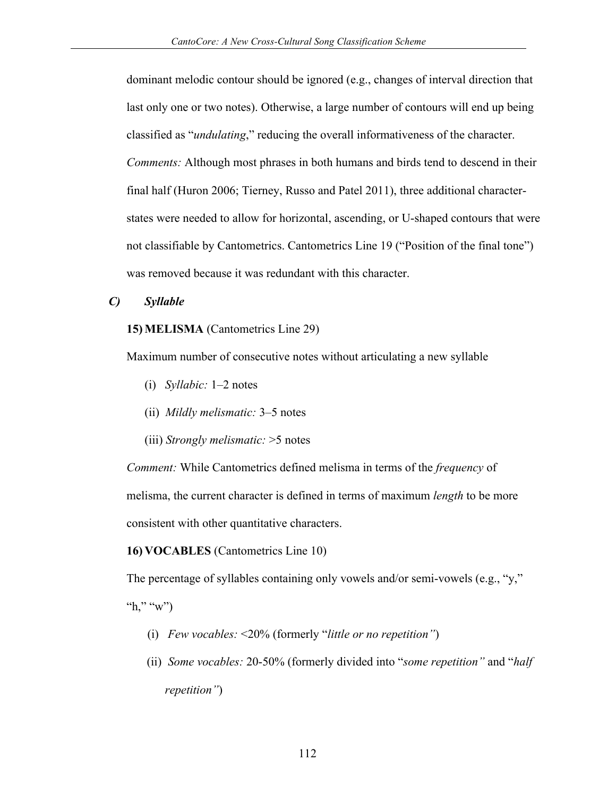dominant melodic contour should be ignored (e.g., changes of interval direction that last only one or two notes). Otherwise, a large number of contours will end up being classified as "*undulating*," reducing the overall informativeness of the character. *Comments:* Although most phrases in both humans and birds tend to descend in their final half (Huron 2006; Tierney, Russo and Patel 2011), three additional characterstates were needed to allow for horizontal, ascending, or U-shaped contours that were not classifiable by Cantometrics. Cantometrics Line 19 ("Position of the final tone") was removed because it was redundant with this character.

### *C) Syllable*

### **15) MELISMA** (Cantometrics Line 29)

Maximum number of consecutive notes without articulating a new syllable

- (i) *Syllabic:* 1–2 notes
- (ii) *Mildly melismatic:* 3–5 notes
- (iii) *Strongly melismatic:* >5 notes

*Comment:* While Cantometrics defined melisma in terms of the *frequency* of melisma, the current character is defined in terms of maximum *length* to be more consistent with other quantitative characters.

## **16) VOCABLES** (Cantometrics Line 10)

The percentage of syllables containing only vowels and/or semi-vowels (e.g., "y,"

"h," "w")

- (i) *Few vocables:* <20% (formerly "*little or no repetition"*)
- (ii) *Some vocables:* 20-50% (formerly divided into "*some repetition"* and "*half repetition"*)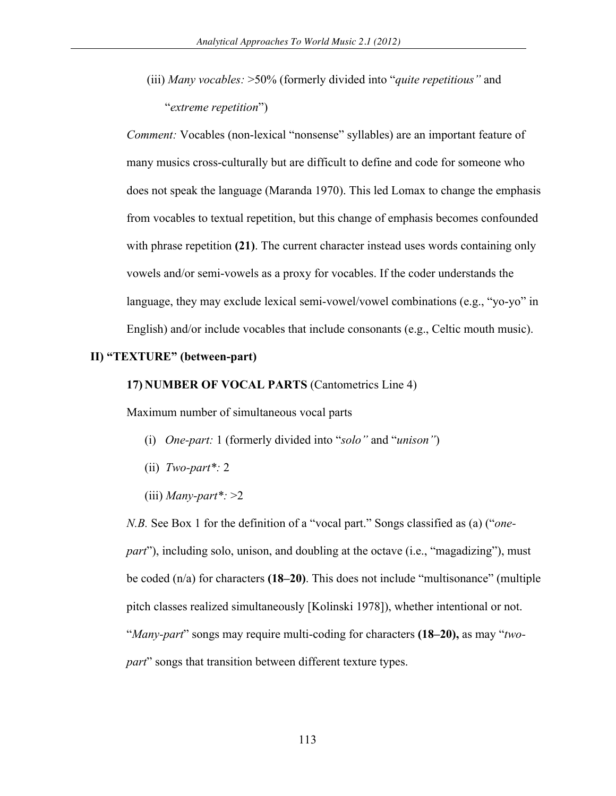(iii) *Many vocables:* >50% (formerly divided into "*quite repetitious"* and "*extreme repetition*")

*Comment:* Vocables (non-lexical "nonsense" syllables) are an important feature of many musics cross-culturally but are difficult to define and code for someone who does not speak the language (Maranda 1970). This led Lomax to change the emphasis from vocables to textual repetition, but this change of emphasis becomes confounded with phrase repetition (21). The current character instead uses words containing only vowels and/or semi-vowels as a proxy for vocables. If the coder understands the language, they may exclude lexical semi-vowel/vowel combinations (e.g., "yo-yo" in English) and/or include vocables that include consonants (e.g., Celtic mouth music).

#### **II) "TEXTURE" (between-part)**

#### **17) NUMBER OF VOCAL PARTS** (Cantometrics Line 4)

Maximum number of simultaneous vocal parts

- (i) *One-part:* 1 (formerly divided into "*solo"* and "*unison"*)
- (ii) *Two-part\*:* 2
- $(iii)$  *Many-part*\*: >2

*N.B.* See Box 1 for the definition of a "vocal part." Songs classified as (a) ("*onepart*"), including solo, unison, and doubling at the octave (i.e., "magadizing"), must be coded (n/a) for characters **(18–20)**. This does not include "multisonance" (multiple pitch classes realized simultaneously [Kolinski 1978]), whether intentional or not. "*Many-part*" songs may require multi-coding for characters **(18–20),** as may "*twopart*" songs that transition between different texture types.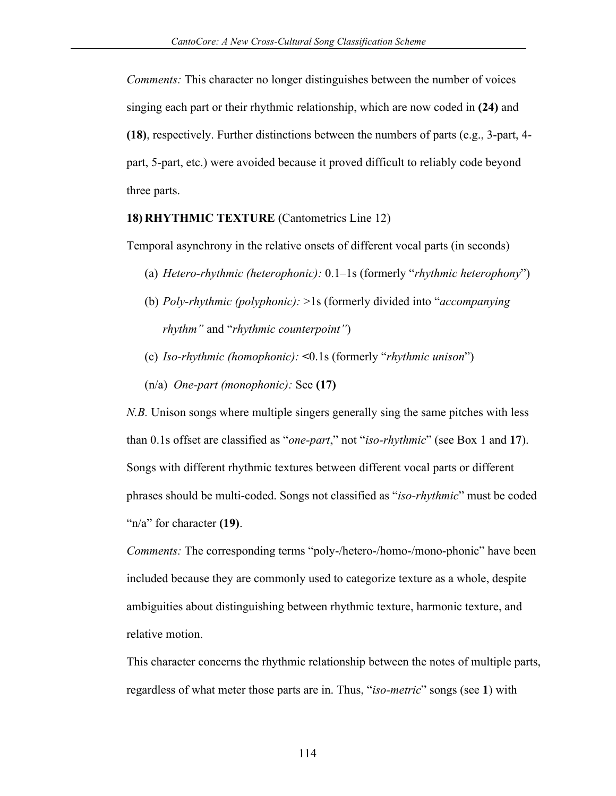*Comments:* This character no longer distinguishes between the number of voices singing each part or their rhythmic relationship, which are now coded in **(24)** and **(18)**, respectively. Further distinctions between the numbers of parts (e.g., 3-part, 4 part, 5-part, etc.) were avoided because it proved difficult to reliably code beyond three parts.

#### **18) RHYTHMIC TEXTURE** (Cantometrics Line 12)

Temporal asynchrony in the relative onsets of different vocal parts (in seconds)

- (a) *Hetero-rhythmic (heterophonic):* 0.1–1s (formerly "*rhythmic heterophony*")
- (b) *Poly-rhythmic (polyphonic):* >1s (formerly divided into "*accompanying rhythm"* and "*rhythmic counterpoint"*)
- (c) *Iso-rhythmic (homophonic):* **<**0.1s (formerly "*rhythmic unison*")
- (n/a) *One-part (monophonic):* See **(17)**

*N.B.* Unison songs where multiple singers generally sing the same pitches with less than 0.1s offset are classified as "*one-part*," not "*iso-rhythmic*" (see Box 1 and **17**). Songs with different rhythmic textures between different vocal parts or different phrases should be multi-coded. Songs not classified as "*iso-rhythmic*" must be coded "n/a" for character **(19)**.

*Comments:* The corresponding terms "poly-/hetero-/homo-/mono-phonic" have been included because they are commonly used to categorize texture as a whole, despite ambiguities about distinguishing between rhythmic texture, harmonic texture, and relative motion.

This character concerns the rhythmic relationship between the notes of multiple parts, regardless of what meter those parts are in. Thus, "*iso-metric*" songs (see **1**) with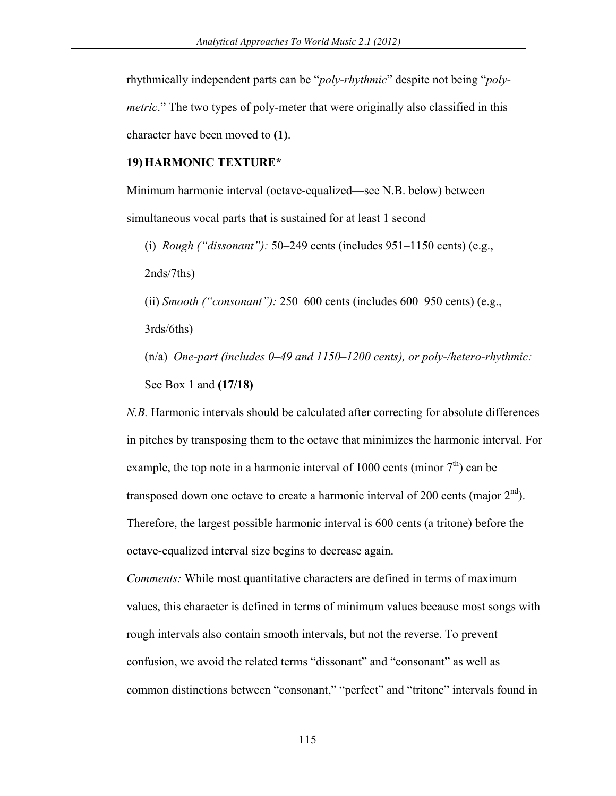rhythmically independent parts can be "*poly-rhythmic*" despite not being "*polymetric*." The two types of poly-meter that were originally also classified in this character have been moved to **(1)**.

### **19) HARMONIC TEXTURE\***

Minimum harmonic interval (octave-equalized—see N.B. below) between simultaneous vocal parts that is sustained for at least 1 second

(i) *Rough ("dissonant"):* 50–249 cents (includes 951–1150 cents) (e.g., 2nds/7ths)

(ii) *Smooth ("consonant"):* 250–600 cents (includes 600–950 cents) (e.g.,

3rds/6ths)

(n/a) *One-part (includes 0–49 and 1150–1200 cents), or poly-/hetero-rhythmic:*  See Box 1 and **(17/18)**

*N.B.* Harmonic intervals should be calculated after correcting for absolute differences in pitches by transposing them to the octave that minimizes the harmonic interval. For example, the top note in a harmonic interval of 1000 cents (minor  $7<sup>th</sup>$ ) can be transposed down one octave to create a harmonic interval of 200 cents (major  $2<sup>nd</sup>$ ). Therefore, the largest possible harmonic interval is 600 cents (a tritone) before the octave-equalized interval size begins to decrease again.

*Comments:* While most quantitative characters are defined in terms of maximum values, this character is defined in terms of minimum values because most songs with rough intervals also contain smooth intervals, but not the reverse. To prevent confusion, we avoid the related terms "dissonant" and "consonant" as well as common distinctions between "consonant," "perfect" and "tritone" intervals found in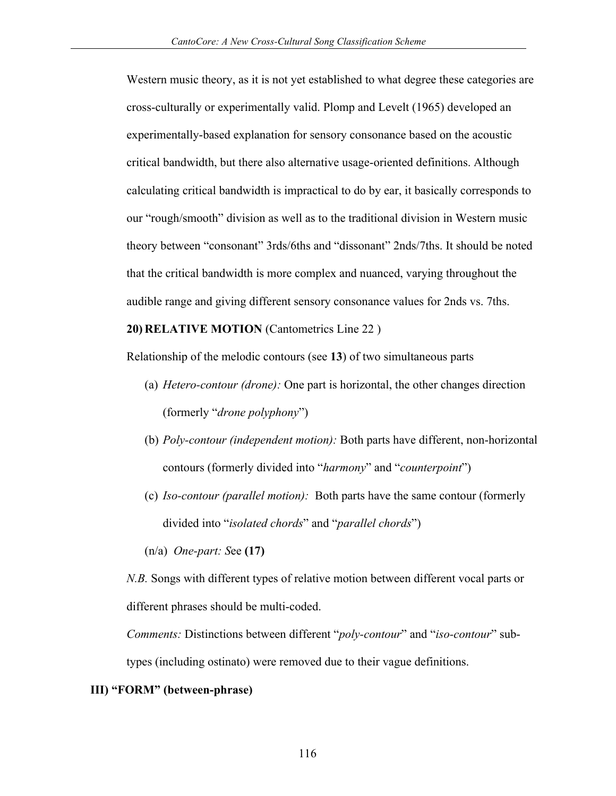Western music theory, as it is not yet established to what degree these categories are cross-culturally or experimentally valid. Plomp and Levelt (1965) developed an experimentally-based explanation for sensory consonance based on the acoustic critical bandwidth, but there also alternative usage-oriented definitions. Although calculating critical bandwidth is impractical to do by ear, it basically corresponds to our "rough/smooth" division as well as to the traditional division in Western music theory between "consonant" 3rds/6ths and "dissonant" 2nds/7ths. It should be noted that the critical bandwidth is more complex and nuanced, varying throughout the audible range and giving different sensory consonance values for 2nds vs. 7ths.

## **20) RELATIVE MOTION** (Cantometrics Line 22 )

Relationship of the melodic contours (see **13**) of two simultaneous parts

- (a) *Hetero-contour (drone):* One part is horizontal, the other changes direction (formerly "*drone polyphony*")
- (b) *Poly-contour (independent motion):* Both parts have different, non-horizontal contours (formerly divided into "*harmony*" and "*counterpoint*")
- (c) *Iso-contour (parallel motion):* Both parts have the same contour (formerly divided into "*isolated chords*" and "*parallel chords*")

(n/a) *One-part: S*ee **(17)**

*N.B.* Songs with different types of relative motion between different vocal parts or different phrases should be multi-coded.

*Comments:* Distinctions between different "*poly-contour*" and "*iso-contour*" subtypes (including ostinato) were removed due to their vague definitions.

#### **III) "FORM" (between-phrase)**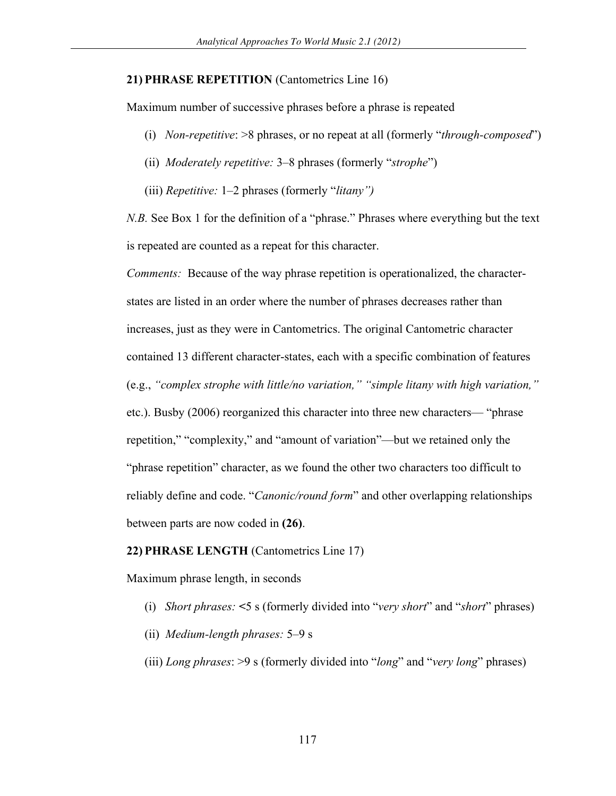#### **21) PHRASE REPETITION** (Cantometrics Line 16)

Maximum number of successive phrases before a phrase is repeated

- (i) *Non-repetitive*: >8 phrases, or no repeat at all (formerly "*through-composed*")
- (ii) *Moderately repetitive:* 3–8 phrases (formerly "*strophe*")
- (iii) *Repetitive:* 1–2 phrases (formerly "*litany")*

*N.B.* See Box 1 for the definition of a "phrase." Phrases where everything but the text is repeated are counted as a repeat for this character.

*Comments:* Because of the way phrase repetition is operationalized, the characterstates are listed in an order where the number of phrases decreases rather than increases, just as they were in Cantometrics. The original Cantometric character contained 13 different character-states, each with a specific combination of features (e.g., *"complex strophe with little/no variation," "simple litany with high variation,"* etc.). Busby (2006) reorganized this character into three new characters— "phrase repetition," "complexity," and "amount of variation"—but we retained only the "phrase repetition" character, as we found the other two characters too difficult to reliably define and code. "*Canonic/round form*" and other overlapping relationships between parts are now coded in **(26)**.

#### **22) PHRASE LENGTH** (Cantometrics Line 17)

Maximum phrase length, in seconds

- (i) *Short phrases:* **<**5 s (formerly divided into "*very short*" and "*short*" phrases)
- (ii) *Medium-length phrases:* 5–9 s
- (iii) *Long phrases*: >9 s (formerly divided into "*long*" and "*very long*" phrases)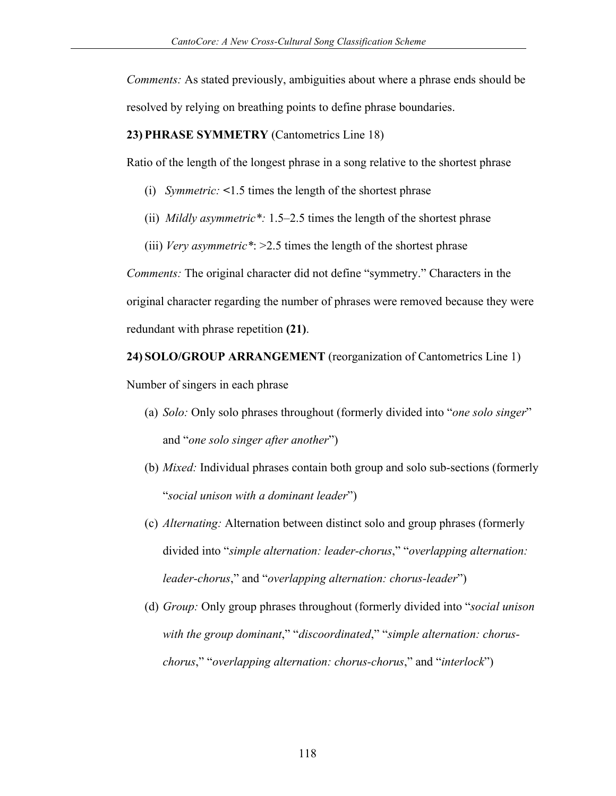*Comments:* As stated previously, ambiguities about where a phrase ends should be resolved by relying on breathing points to define phrase boundaries.

### **23) PHRASE SYMMETRY** (Cantometrics Line 18)

Ratio of the length of the longest phrase in a song relative to the shortest phrase

- (i) *Symmetric:* **<**1.5 times the length of the shortest phrase
- (ii) *Mildly asymmetric\*:* 1.5–2.5 times the length of the shortest phrase
- (iii) *Very asymmetric\**: >2.5 times the length of the shortest phrase

*Comments:* The original character did not define "symmetry." Characters in the original character regarding the number of phrases were removed because they were redundant with phrase repetition **(21)**.

## **24) SOLO/GROUP ARRANGEMENT** (reorganization of Cantometrics Line 1)

Number of singers in each phrase

- (a) *Solo:* Only solo phrases throughout (formerly divided into "*one solo singer*" and "*one solo singer after another*")
- (b) *Mixed:* Individual phrases contain both group and solo sub-sections (formerly "*social unison with a dominant leader*")
- (c) *Alternating:* Alternation between distinct solo and group phrases (formerly divided into "*simple alternation: leader-chorus*," "*overlapping alternation: leader-chorus*," and "*overlapping alternation: chorus-leader*")
- (d) *Group:* Only group phrases throughout (formerly divided into "*social unison with the group dominant*," "*discoordinated*," "*simple alternation: choruschorus*," "*overlapping alternation: chorus-chorus*," and "*interlock*")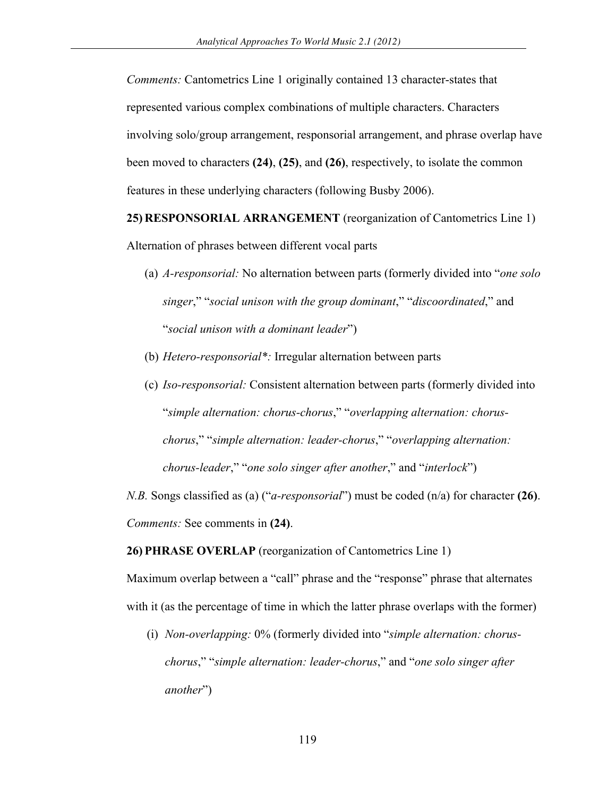*Comments:* Cantometrics Line 1 originally contained 13 character-states that represented various complex combinations of multiple characters. Characters involving solo/group arrangement, responsorial arrangement, and phrase overlap have been moved to characters **(24)**, **(25)**, and **(26)**, respectively, to isolate the common features in these underlying characters (following Busby 2006).

**25) RESPONSORIAL ARRANGEMENT** (reorganization of Cantometrics Line 1)

Alternation of phrases between different vocal parts

- (a) *A-responsorial:* No alternation between parts (formerly divided into "*one solo singer*," "*social unison with the group dominant*," "*discoordinated*," and "*social unison with a dominant leader*")
- (b) *Hetero-responsorial\*:* Irregular alternation between parts
- (c) *Iso-responsorial:* Consistent alternation between parts (formerly divided into "*simple alternation: chorus-chorus*," "*overlapping alternation: choruschorus*," "*simple alternation: leader-chorus*," "*overlapping alternation: chorus-leader*," "*one solo singer after another*," and "*interlock*")

*N.B.* Songs classified as (a) ("*a-responsorial*") must be coded (n/a) for character **(26)**. *Comments:* See comments in **(24)**.

**26) PHRASE OVERLAP** (reorganization of Cantometrics Line 1)

Maximum overlap between a "call" phrase and the "response" phrase that alternates with it (as the percentage of time in which the latter phrase overlaps with the former)

(i) *Non-overlapping:* 0% (formerly divided into "*simple alternation: choruschorus*," "*simple alternation: leader-chorus*," and "*one solo singer after another*")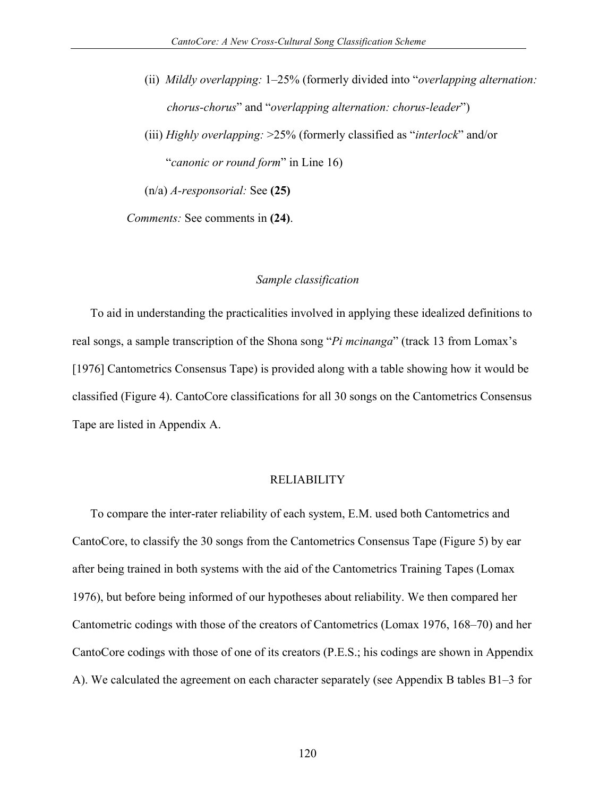- (ii) *Mildly overlapping:* 1–25% (formerly divided into "*overlapping alternation: chorus-chorus*" and "*overlapping alternation: chorus-leader*")
- (iii) *Highly overlapping:* >25% (formerly classified as "*interlock*" and/or "*canonic or round form*" in Line 16)
- (n/a) *A-responsorial:* See **(25)**

*Comments:* See comments in **(24)**.

#### *Sample classification*

To aid in understanding the practicalities involved in applying these idealized definitions to real songs, a sample transcription of the Shona song "*Pi mcinanga*" (track 13 from Lomax's [1976] Cantometrics Consensus Tape) is provided along with a table showing how it would be classified (Figure 4). CantoCore classifications for all 30 songs on the Cantometrics Consensus Tape are listed in Appendix A.

#### RELIABILITY

To compare the inter-rater reliability of each system, E.M. used both Cantometrics and CantoCore, to classify the 30 songs from the Cantometrics Consensus Tape (Figure 5) by ear after being trained in both systems with the aid of the Cantometrics Training Tapes (Lomax 1976), but before being informed of our hypotheses about reliability. We then compared her Cantometric codings with those of the creators of Cantometrics (Lomax 1976, 168–70) and her CantoCore codings with those of one of its creators (P.E.S.; his codings are shown in Appendix A). We calculated the agreement on each character separately (see Appendix B tables B1–3 for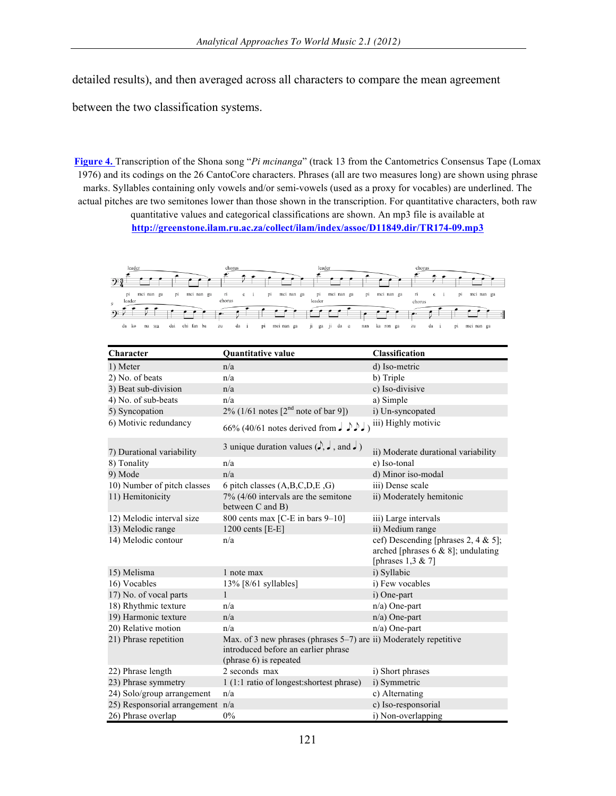detailed results), and then averaged across all characters to compare the mean agreement

between the two classification systems.

**[Figure 4.](http://www.aawmjournal.com/examples/2012a/Savage_AAWM_Fig_4.pdf)** Transcription of the Shona song "*Pi mcinanga*" (track 13 from the Cantometrics Consensus Tape (Lomax 1976) and its codings on the 26 CantoCore characters. Phrases (all are two measures long) are shown using phrase marks. Syllables containing only vowels and/or semi-vowels (used as a proxy for vocables) are underlined. The actual pitches are two semitones lower than those shown in the transcription. For quantitative characters, both raw quantitative values and categorical classifications are shown. An mp3 file is available at

**http://greenstone.ilam.ru.ac.za/collect/ilam/index/assoc/D11849.dir/TR174-09.mp3**



| Character                    | Quantitative value                                                                                                                       | Classification                                                                                     |  |  |  |  |  |
|------------------------------|------------------------------------------------------------------------------------------------------------------------------------------|----------------------------------------------------------------------------------------------------|--|--|--|--|--|
| 1) Meter                     | n/a                                                                                                                                      | d) Iso-metric                                                                                      |  |  |  |  |  |
| 2) No. of beats              | n/a                                                                                                                                      | b) Triple                                                                                          |  |  |  |  |  |
| 3) Beat sub-division         | n/a                                                                                                                                      | c) Iso-divisive                                                                                    |  |  |  |  |  |
| 4) No. of sub-beats          | n/a                                                                                                                                      | a) Simple                                                                                          |  |  |  |  |  |
| 5) Syncopation               | 2% (1/61 notes $[2^{nd}$ note of bar 9])                                                                                                 | i) Un-syncopated                                                                                   |  |  |  |  |  |
| 6) Motivic redundancy        | iii) Highly motivic<br>66% (40/61 notes derived from $J \sim J$ )                                                                        |                                                                                                    |  |  |  |  |  |
| 7) Durational variability    | 3 unique duration values $(\rightarrow, \rightarrow, \text{ and } \rightarrow)$                                                          | ii) Moderate durational variability                                                                |  |  |  |  |  |
| 8) Tonality                  | n/a                                                                                                                                      | e) Iso-tonal                                                                                       |  |  |  |  |  |
| 9) Mode                      | n/a                                                                                                                                      | d) Minor iso-modal                                                                                 |  |  |  |  |  |
| 10) Number of pitch classes  | 6 pitch classes (A,B,C,D,E,G)                                                                                                            | iii) Dense scale                                                                                   |  |  |  |  |  |
| 11) Hemitonicity             | $7\%$ (4/60 intervals are the semitone<br>between C and B)                                                                               | ii) Moderately hemitonic                                                                           |  |  |  |  |  |
| 12) Melodic interval size    | 800 cents max [C-E in bars $9-10$ ]                                                                                                      | iii) Large intervals                                                                               |  |  |  |  |  |
| 13) Melodic range            | 1200 cents $[E-E]$                                                                                                                       | ii) Medium range                                                                                   |  |  |  |  |  |
| 14) Melodic contour          | n/a                                                                                                                                      | cef) Descending [phrases 2, 4 & 5];<br>arched [phrases 6 & 8]; undulating<br>[phrases $1,3 \& 7$ ] |  |  |  |  |  |
| 15) Melisma                  | 1 note max                                                                                                                               | i) Syllabic                                                                                        |  |  |  |  |  |
| 16) Vocables                 | $13\%$ [8/61 syllables]                                                                                                                  | i) Few vocables                                                                                    |  |  |  |  |  |
| 17) No. of vocal parts       | $\mathbf{1}$                                                                                                                             | i) One-part                                                                                        |  |  |  |  |  |
| 18) Rhythmic texture         | n/a                                                                                                                                      | $n/a$ ) One-part                                                                                   |  |  |  |  |  |
| 19) Harmonic texture         | n/a                                                                                                                                      | $n/a$ ) One-part                                                                                   |  |  |  |  |  |
| 20) Relative motion          | n/a                                                                                                                                      | $n/a$ ) One-part                                                                                   |  |  |  |  |  |
| 21) Phrase repetition        | Max. of 3 new phrases (phrases $5-7$ ) are ii) Moderately repetitive<br>introduced before an earlier phrase<br>(phrase $6$ ) is repeated |                                                                                                    |  |  |  |  |  |
| 22) Phrase length            | 2 seconds max                                                                                                                            | i) Short phrases                                                                                   |  |  |  |  |  |
| 23) Phrase symmetry          | 1 (1:1 ratio of longest: shortest phrase)                                                                                                | i) Symmetric                                                                                       |  |  |  |  |  |
| 24) Solo/group arrangement   | n/a                                                                                                                                      | c) Alternating                                                                                     |  |  |  |  |  |
| 25) Responsorial arrangement | n/a                                                                                                                                      | c) Iso-responsorial                                                                                |  |  |  |  |  |
| 26) Phrase overlap           | 0%                                                                                                                                       | i) Non-overlapping                                                                                 |  |  |  |  |  |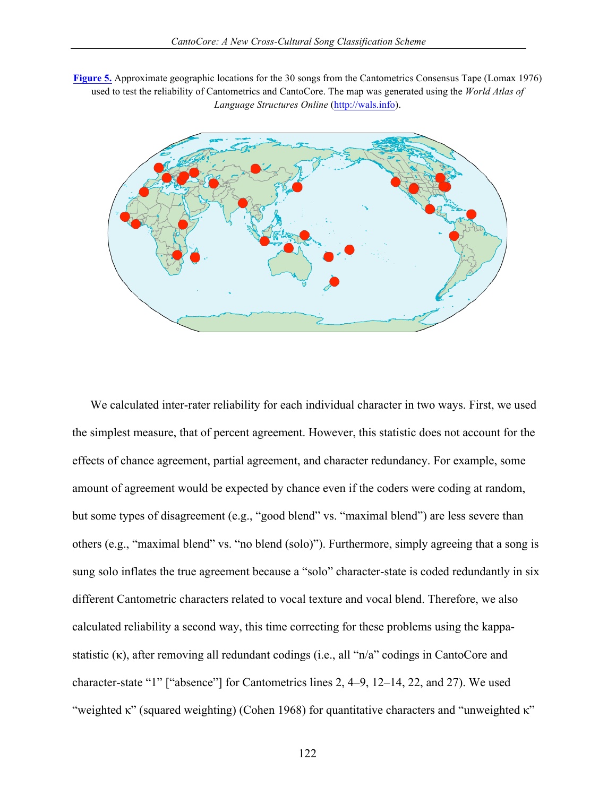**[Figure 5.](http://www.aawmjournal.com/examples/2012a/Savage_AAWM_Fig_5.pdf)** Approximate geographic locations for the 30 songs from the Cantometrics Consensus Tape (Lomax 1976) used to test the reliability of Cantometrics and CantoCore. The map was generated using the *World Atlas of Language Structures Online* (http://wals.info).



We calculated inter-rater reliability for each individual character in two ways. First, we used the simplest measure, that of percent agreement. However, this statistic does not account for the effects of chance agreement, partial agreement, and character redundancy. For example, some amount of agreement would be expected by chance even if the coders were coding at random, but some types of disagreement (e.g., "good blend" vs. "maximal blend") are less severe than others (e.g., "maximal blend" vs. "no blend (solo)"). Furthermore, simply agreeing that a song is sung solo inflates the true agreement because a "solo" character-state is coded redundantly in six different Cantometric characters related to vocal texture and vocal blend. Therefore, we also calculated reliability a second way, this time correcting for these problems using the kappastatistic (κ), after removing all redundant codings (i.e., all "n/a" codings in CantoCore and character-state "1" ["absence"] for Cantometrics lines 2, 4–9, 12–14, 22, and 27). We used "weighted κ" (squared weighting) (Cohen 1968) for quantitative characters and "unweighted κ"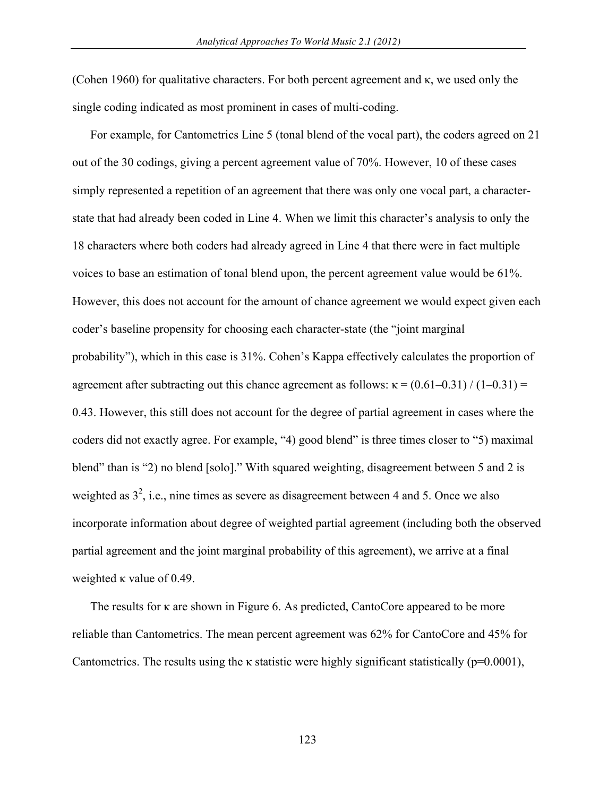(Cohen 1960) for qualitative characters. For both percent agreement and κ, we used only the single coding indicated as most prominent in cases of multi-coding.

For example, for Cantometrics Line 5 (tonal blend of the vocal part), the coders agreed on 21 out of the 30 codings, giving a percent agreement value of 70%. However, 10 of these cases simply represented a repetition of an agreement that there was only one vocal part, a characterstate that had already been coded in Line 4. When we limit this character's analysis to only the 18 characters where both coders had already agreed in Line 4 that there were in fact multiple voices to base an estimation of tonal blend upon, the percent agreement value would be 61%. However, this does not account for the amount of chance agreement we would expect given each coder's baseline propensity for choosing each character-state (the "joint marginal probability"), which in this case is 31%. Cohen's Kappa effectively calculates the proportion of agreement after subtracting out this chance agreement as follows:  $\kappa = (0.61 - 0.31) / (1 - 0.31) =$ 0.43. However, this still does not account for the degree of partial agreement in cases where the coders did not exactly agree. For example, "4) good blend" is three times closer to "5) maximal blend" than is "2) no blend [solo]." With squared weighting, disagreement between 5 and 2 is weighted as  $3^2$ , i.e., nine times as severe as disagreement between 4 and 5. Once we also incorporate information about degree of weighted partial agreement (including both the observed partial agreement and the joint marginal probability of this agreement), we arrive at a final weighted κ value of 0.49.

The results for κ are shown in Figure 6. As predicted, CantoCore appeared to be more reliable than Cantometrics. The mean percent agreement was 62% for CantoCore and 45% for Cantometrics. The results using the  $\kappa$  statistic were highly significant statistically ( $p=0.0001$ ),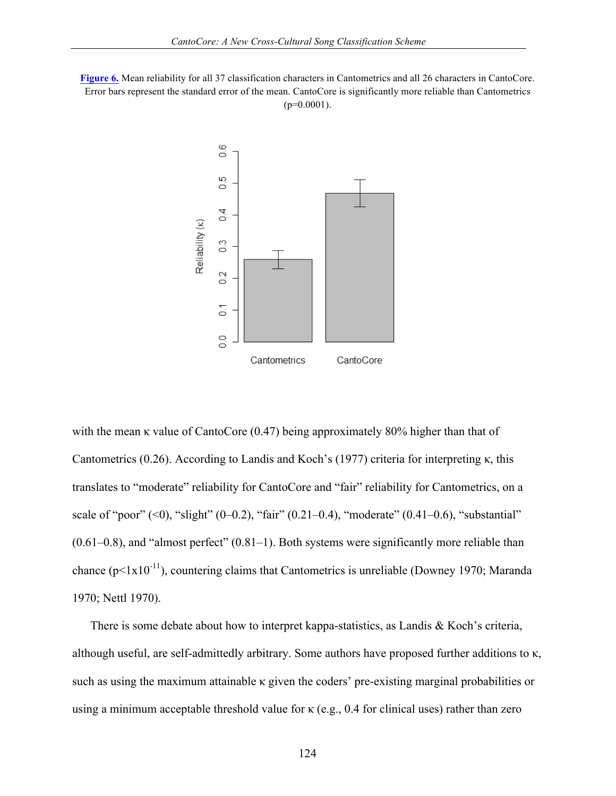**[Figure 6.](http://www.aawmjournal.com/examples/2012a/Savage_AAWM_Fig_6.pdf)** Mean reliability for all 37 classification characters in Cantometrics and all 26 characters in CantoCore. Error bars represent the standard error of the mean. CantoCore is significantly more reliable than Cantometrics  $(p=0.0001)$ .



with the mean κ value of CantoCore (0.47) being approximately 80% higher than that of Cantometrics (0.26). According to Landis and Koch's (1977) criteria for interpreting κ, this translates to "moderate" reliability for CantoCore and "fair" reliability for Cantometrics, on a scale of "poor"  $(<0)$ , "slight"  $(0-0.2)$ , "fair"  $(0.21-0.4)$ , "moderate"  $(0.41-0.6)$ , "substantial"  $(0.61-0.8)$ , and "almost perfect"  $(0.81-1)$ . Both systems were significantly more reliable than chance ( $p<1x10^{-11}$ ), countering claims that Cantometrics is unreliable (Downey 1970; Maranda 1970; Nettl 1970).

There is some debate about how to interpret kappa-statistics, as Landis & Koch's criteria, although useful, are self-admittedly arbitrary. Some authors have proposed further additions to κ, such as using the maximum attainable κ given the coders' pre-existing marginal probabilities or using a minimum acceptable threshold value for κ (e.g., 0.4 for clinical uses) rather than zero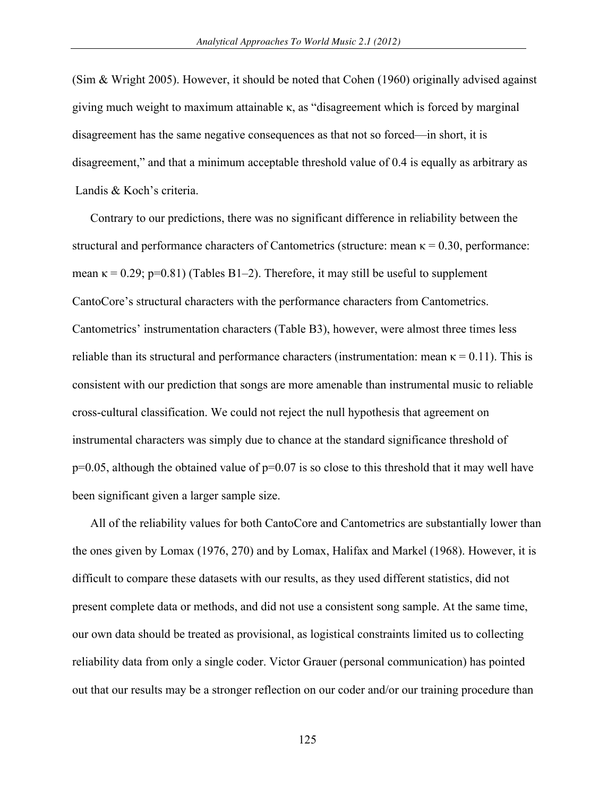(Sim & Wright 2005). However, it should be noted that Cohen (1960) originally advised against giving much weight to maximum attainable κ, as "disagreement which is forced by marginal disagreement has the same negative consequences as that not so forced—in short, it is disagreement," and that a minimum acceptable threshold value of 0.4 is equally as arbitrary as Landis & Koch's criteria.

Contrary to our predictions, there was no significant difference in reliability between the structural and performance characters of Cantometrics (structure: mean  $\kappa = 0.30$ , performance: mean  $\kappa = 0.29$ ; p=0.81) (Tables B1–2). Therefore, it may still be useful to supplement CantoCore's structural characters with the performance characters from Cantometrics. Cantometrics' instrumentation characters (Table B3), however, were almost three times less reliable than its structural and performance characters (instrumentation: mean  $\kappa = 0.11$ ). This is consistent with our prediction that songs are more amenable than instrumental music to reliable cross-cultural classification. We could not reject the null hypothesis that agreement on instrumental characters was simply due to chance at the standard significance threshold of  $p=0.05$ , although the obtained value of  $p=0.07$  is so close to this threshold that it may well have been significant given a larger sample size.

All of the reliability values for both CantoCore and Cantometrics are substantially lower than the ones given by Lomax (1976, 270) and by Lomax, Halifax and Markel (1968). However, it is difficult to compare these datasets with our results, as they used different statistics, did not present complete data or methods, and did not use a consistent song sample. At the same time, our own data should be treated as provisional, as logistical constraints limited us to collecting reliability data from only a single coder. Victor Grauer (personal communication) has pointed out that our results may be a stronger reflection on our coder and/or our training procedure than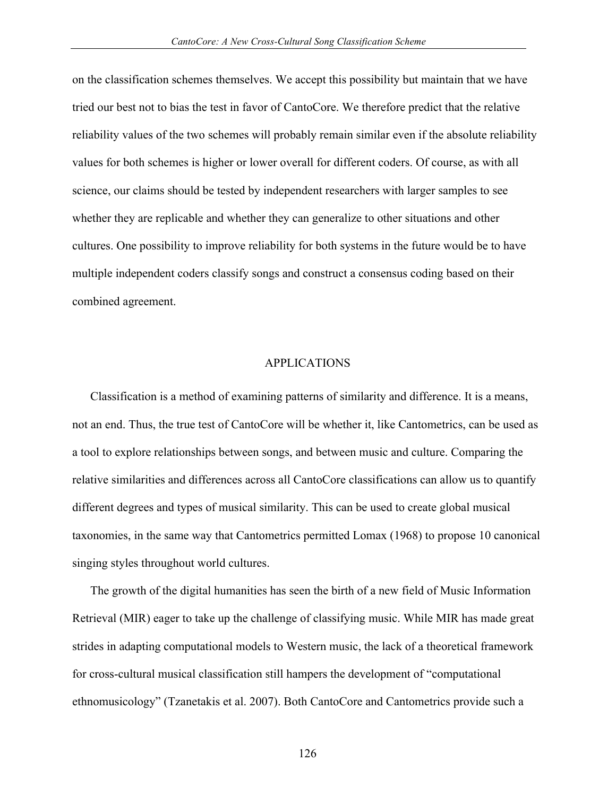on the classification schemes themselves. We accept this possibility but maintain that we have tried our best not to bias the test in favor of CantoCore. We therefore predict that the relative reliability values of the two schemes will probably remain similar even if the absolute reliability values for both schemes is higher or lower overall for different coders. Of course, as with all science, our claims should be tested by independent researchers with larger samples to see whether they are replicable and whether they can generalize to other situations and other cultures. One possibility to improve reliability for both systems in the future would be to have multiple independent coders classify songs and construct a consensus coding based on their combined agreement.

#### APPLICATIONS

Classification is a method of examining patterns of similarity and difference. It is a means, not an end. Thus, the true test of CantoCore will be whether it, like Cantometrics, can be used as a tool to explore relationships between songs, and between music and culture. Comparing the relative similarities and differences across all CantoCore classifications can allow us to quantify different degrees and types of musical similarity. This can be used to create global musical taxonomies, in the same way that Cantometrics permitted Lomax (1968) to propose 10 canonical singing styles throughout world cultures.

The growth of the digital humanities has seen the birth of a new field of Music Information Retrieval (MIR) eager to take up the challenge of classifying music. While MIR has made great strides in adapting computational models to Western music, the lack of a theoretical framework for cross-cultural musical classification still hampers the development of "computational ethnomusicology" (Tzanetakis et al. 2007). Both CantoCore and Cantometrics provide such a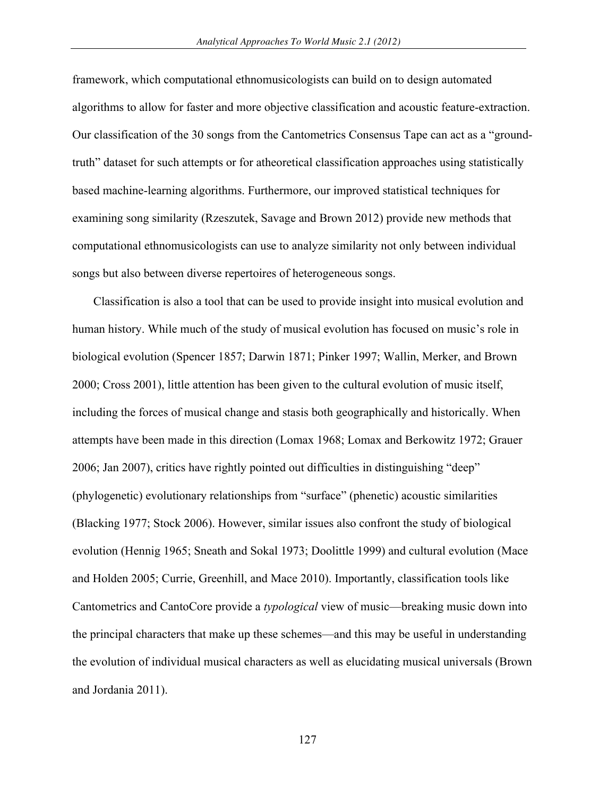framework, which computational ethnomusicologists can build on to design automated algorithms to allow for faster and more objective classification and acoustic feature-extraction. Our classification of the 30 songs from the Cantometrics Consensus Tape can act as a "groundtruth" dataset for such attempts or for atheoretical classification approaches using statistically based machine-learning algorithms. Furthermore, our improved statistical techniques for examining song similarity (Rzeszutek, Savage and Brown 2012) provide new methods that computational ethnomusicologists can use to analyze similarity not only between individual songs but also between diverse repertoires of heterogeneous songs.

Classification is also a tool that can be used to provide insight into musical evolution and human history. While much of the study of musical evolution has focused on music's role in biological evolution (Spencer 1857; Darwin 1871; Pinker 1997; Wallin, Merker, and Brown 2000; Cross 2001), little attention has been given to the cultural evolution of music itself, including the forces of musical change and stasis both geographically and historically. When attempts have been made in this direction (Lomax 1968; Lomax and Berkowitz 1972; Grauer 2006; Jan 2007), critics have rightly pointed out difficulties in distinguishing "deep" (phylogenetic) evolutionary relationships from "surface" (phenetic) acoustic similarities (Blacking 1977; Stock 2006). However, similar issues also confront the study of biological evolution (Hennig 1965; Sneath and Sokal 1973; Doolittle 1999) and cultural evolution (Mace and Holden 2005; Currie, Greenhill, and Mace 2010). Importantly, classification tools like Cantometrics and CantoCore provide a *typological* view of music—breaking music down into the principal characters that make up these schemes—and this may be useful in understanding the evolution of individual musical characters as well as elucidating musical universals (Brown and Jordania 2011).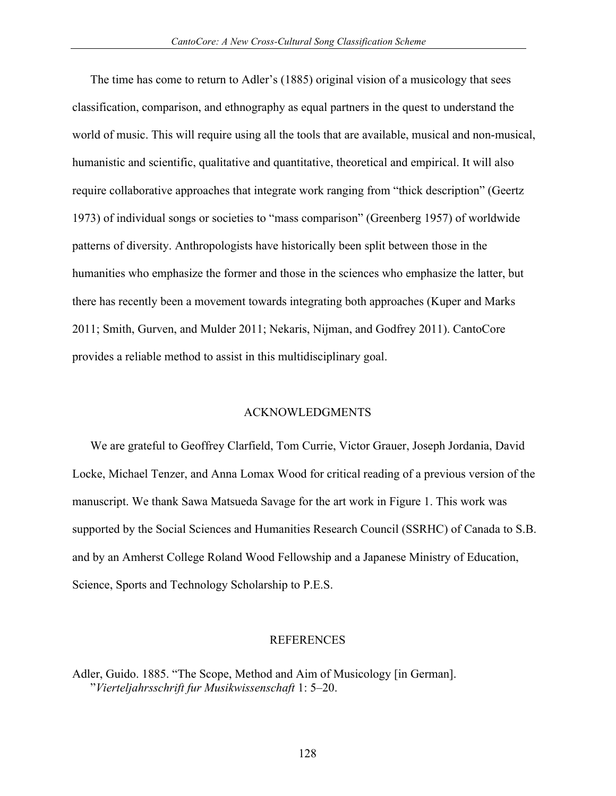The time has come to return to Adler's (1885) original vision of a musicology that sees classification, comparison, and ethnography as equal partners in the quest to understand the world of music. This will require using all the tools that are available, musical and non-musical, humanistic and scientific, qualitative and quantitative, theoretical and empirical. It will also require collaborative approaches that integrate work ranging from "thick description" (Geertz 1973) of individual songs or societies to "mass comparison" (Greenberg 1957) of worldwide patterns of diversity. Anthropologists have historically been split between those in the humanities who emphasize the former and those in the sciences who emphasize the latter, but there has recently been a movement towards integrating both approaches (Kuper and Marks 2011; Smith, Gurven, and Mulder 2011; Nekaris, Nijman, and Godfrey 2011). CantoCore provides a reliable method to assist in this multidisciplinary goal.

#### ACKNOWLEDGMENTS

We are grateful to Geoffrey Clarfield, Tom Currie, Victor Grauer, Joseph Jordania, David Locke, Michael Tenzer, and Anna Lomax Wood for critical reading of a previous version of the manuscript. We thank Sawa Matsueda Savage for the art work in Figure 1. This work was supported by the Social Sciences and Humanities Research Council (SSRHC) of Canada to S.B. and by an Amherst College Roland Wood Fellowship and a Japanese Ministry of Education, Science, Sports and Technology Scholarship to P.E.S.

#### REFERENCES

Adler, Guido. 1885. "The Scope, Method and Aim of Musicology [in German]. "*Vierteljahrsschrift fur Musikwissenschaft* 1: 5–20.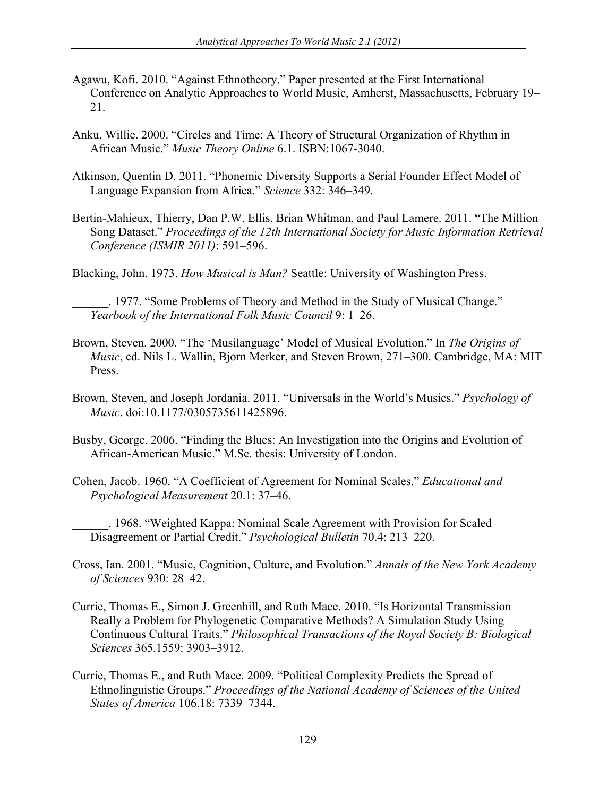- Agawu, Kofi. 2010. "Against Ethnotheory." Paper presented at the First International Conference on Analytic Approaches to World Music, Amherst, Massachusetts, February 19– 21.
- Anku, Willie. 2000. "Circles and Time: A Theory of Structural Organization of Rhythm in African Music." *Music Theory Online* 6.1. ISBN:1067-3040.
- Atkinson, Quentin D. 2011. "Phonemic Diversity Supports a Serial Founder Effect Model of Language Expansion from Africa." *Science* 332: 346–349.
- Bertin-Mahieux, Thierry, Dan P.W. Ellis, Brian Whitman, and Paul Lamere. 2011. "The Million Song Dataset." *Proceedings of the 12th International Society for Music Information Retrieval Conference (ISMIR 2011)*: 591–596.
- Blacking, John. 1973. *How Musical is Man?* Seattle: University of Washington Press.

\_\_\_\_\_\_. 1977. "Some Problems of Theory and Method in the Study of Musical Change." *Yearbook of the International Folk Music Council* 9: 1–26.

- Brown, Steven. 2000. "The 'Musilanguage' Model of Musical Evolution." In *The Origins of Music*, ed. Nils L. Wallin, Bjorn Merker, and Steven Brown, 271–300. Cambridge, MA: MIT Press.
- Brown, Steven, and Joseph Jordania. 2011. "Universals in the World's Musics." *Psychology of Music*. doi:10.1177/0305735611425896.
- Busby, George. 2006. "Finding the Blues: An Investigation into the Origins and Evolution of African-American Music." M.Sc. thesis: University of London.
- Cohen, Jacob. 1960. "A Coefficient of Agreement for Nominal Scales." *Educational and Psychological Measurement* 20.1: 37–46.

\_\_\_\_\_\_. 1968. "Weighted Kappa: Nominal Scale Agreement with Provision for Scaled Disagreement or Partial Credit." *Psychological Bulletin* 70.4: 213–220.

- Cross, Ian. 2001. "Music, Cognition, Culture, and Evolution." *Annals of the New York Academy of Sciences* 930: 28–42.
- Currie, Thomas E., Simon J. Greenhill, and Ruth Mace. 2010. "Is Horizontal Transmission Really a Problem for Phylogenetic Comparative Methods? A Simulation Study Using Continuous Cultural Traits." *Philosophical Transactions of the Royal Society B: Biological Sciences* 365.1559: 3903–3912.
- Currie, Thomas E., and Ruth Mace. 2009. "Political Complexity Predicts the Spread of Ethnolinguistic Groups." *Proceedings of the National Academy of Sciences of the United States of America* 106.18: 7339–7344.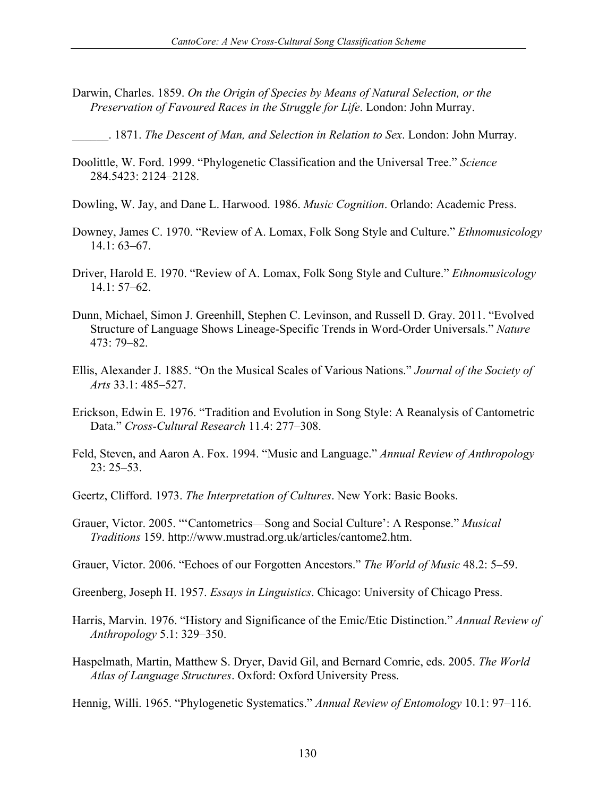- Darwin, Charles. 1859. *On the Origin of Species by Means of Natural Selection, or the Preservation of Favoured Races in the Struggle for Life*. London: John Murray.
- \_\_\_\_\_\_. 1871. *The Descent of Man, and Selection in Relation to Sex*. London: John Murray.
- Doolittle, W. Ford. 1999. "Phylogenetic Classification and the Universal Tree." *Science* 284.5423: 2124–2128.
- Dowling, W. Jay, and Dane L. Harwood. 1986. *Music Cognition*. Orlando: Academic Press.
- Downey, James C. 1970. "Review of A. Lomax, Folk Song Style and Culture." *Ethnomusicology* 14.1: 63–67.
- Driver, Harold E. 1970. "Review of A. Lomax, Folk Song Style and Culture." *Ethnomusicology* 14.1: 57–62.
- Dunn, Michael, Simon J. Greenhill, Stephen C. Levinson, and Russell D. Gray. 2011. "Evolved Structure of Language Shows Lineage-Specific Trends in Word-Order Universals." *Nature* 473: 79–82.
- Ellis, Alexander J. 1885. "On the Musical Scales of Various Nations." *Journal of the Society of Arts* 33.1: 485–527.
- Erickson, Edwin E. 1976. "Tradition and Evolution in Song Style: A Reanalysis of Cantometric Data." *Cross-Cultural Research* 11.4: 277–308.
- Feld, Steven, and Aaron A. Fox. 1994. "Music and Language." *Annual Review of Anthropology*  $23: 25 - 53$ .
- Geertz, Clifford. 1973. *The Interpretation of Cultures*. New York: Basic Books.
- Grauer, Victor. 2005. "'Cantometrics—Song and Social Culture': A Response." *Musical Traditions* 159. http://www.mustrad.org.uk/articles/cantome2.htm.
- Grauer, Victor. 2006. "Echoes of our Forgotten Ancestors." *The World of Music* 48.2: 5–59.

Greenberg, Joseph H. 1957. *Essays in Linguistics*. Chicago: University of Chicago Press.

- Harris, Marvin. 1976. "History and Significance of the Emic/Etic Distinction." *Annual Review of Anthropology* 5.1: 329–350.
- Haspelmath, Martin, Matthew S. Dryer, David Gil, and Bernard Comrie, eds. 2005. *The World Atlas of Language Structures*. Oxford: Oxford University Press.

Hennig, Willi. 1965. "Phylogenetic Systematics." *Annual Review of Entomology* 10.1: 97–116.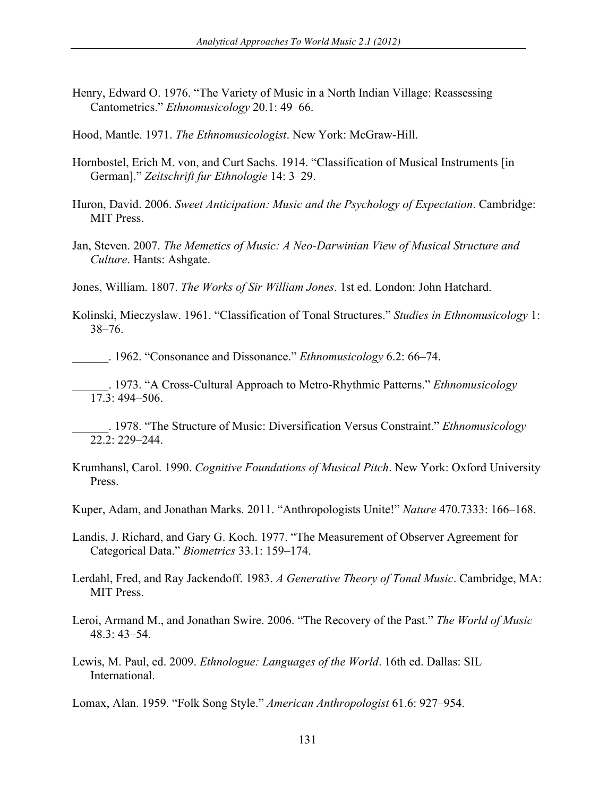- Henry, Edward O. 1976. "The Variety of Music in a North Indian Village: Reassessing Cantometrics." *Ethnomusicology* 20.1: 49–66.
- Hood, Mantle. 1971. *The Ethnomusicologist*. New York: McGraw-Hill.
- Hornbostel, Erich M. von, and Curt Sachs. 1914. "Classification of Musical Instruments [in German]." *Zeitschrift fur Ethnologie* 14: 3–29.
- Huron, David. 2006. *Sweet Anticipation: Music and the Psychology of Expectation*. Cambridge: MIT Press.
- Jan, Steven. 2007. *The Memetics of Music: A Neo-Darwinian View of Musical Structure and Culture*. Hants: Ashgate.
- Jones, William. 1807. *The Works of Sir William Jones*. 1st ed. London: John Hatchard.
- Kolinski, Mieczyslaw. 1961. "Classification of Tonal Structures." *Studies in Ethnomusicology* 1: 38–76.
	- \_\_\_\_\_\_. 1962. "Consonance and Dissonance." *Ethnomusicology* 6.2: 66–74.
- \_\_\_\_\_\_. 1973. "A Cross-Cultural Approach to Metro-Rhythmic Patterns." *Ethnomusicology* 17.3: 494–506.
	- \_\_\_\_\_\_. 1978. "The Structure of Music: Diversification Versus Constraint." *Ethnomusicology* 22.2: 229–244.
- Krumhansl, Carol. 1990. *Cognitive Foundations of Musical Pitch*. New York: Oxford University Press.
- Kuper, Adam, and Jonathan Marks. 2011. "Anthropologists Unite!" *Nature* 470.7333: 166–168.
- Landis, J. Richard, and Gary G. Koch. 1977. "The Measurement of Observer Agreement for Categorical Data." *Biometrics* 33.1: 159–174.
- Lerdahl, Fred, and Ray Jackendoff. 1983. *A Generative Theory of Tonal Music*. Cambridge, MA: MIT Press.
- Leroi, Armand M., and Jonathan Swire. 2006. "The Recovery of the Past." *The World of Music* 48.3: 43–54.
- Lewis, M. Paul, ed. 2009. *Ethnologue: Languages of the World*. 16th ed. Dallas: SIL International.

Lomax, Alan. 1959. "Folk Song Style." *American Anthropologist* 61.6: 927–954.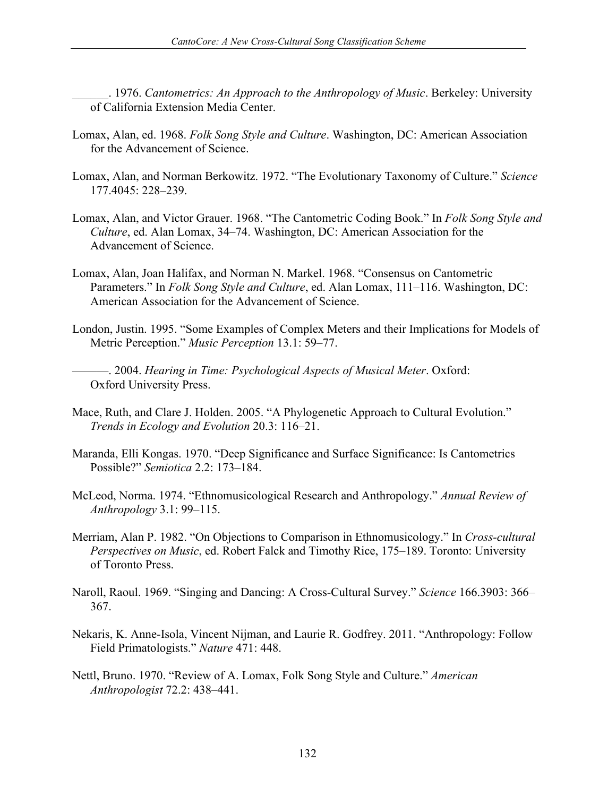\_\_\_\_\_\_. 1976. *Cantometrics: An Approach to the Anthropology of Music*. Berkeley: University of California Extension Media Center.

- Lomax, Alan, ed. 1968. *Folk Song Style and Culture*. Washington, DC: American Association for the Advancement of Science.
- Lomax, Alan, and Norman Berkowitz. 1972. "The Evolutionary Taxonomy of Culture." *Science* 177.4045: 228–239.
- Lomax, Alan, and Victor Grauer. 1968. "The Cantometric Coding Book." In *Folk Song Style and Culture*, ed. Alan Lomax, 34–74. Washington, DC: American Association for the Advancement of Science.
- Lomax, Alan, Joan Halifax, and Norman N. Markel. 1968. "Consensus on Cantometric Parameters." In *Folk Song Style and Culture*, ed. Alan Lomax, 111–116. Washington, DC: American Association for the Advancement of Science.
- London, Justin. 1995. "Some Examples of Complex Meters and their Implications for Models of Metric Perception." *Music Perception* 13.1: 59–77.

———. 2004. *Hearing in Time: Psychological Aspects of Musical Meter*. Oxford: Oxford University Press.

- Mace, Ruth, and Clare J. Holden. 2005. "A Phylogenetic Approach to Cultural Evolution." *Trends in Ecology and Evolution* 20.3: 116–21.
- Maranda, Elli Kongas. 1970. "Deep Significance and Surface Significance: Is Cantometrics Possible?" *Semiotica* 2.2: 173–184.
- McLeod, Norma. 1974. "Ethnomusicological Research and Anthropology." *Annual Review of Anthropology* 3.1: 99–115.
- Merriam, Alan P. 1982. "On Objections to Comparison in Ethnomusicology." In *Cross-cultural Perspectives on Music*, ed. Robert Falck and Timothy Rice, 175–189. Toronto: University of Toronto Press.
- Naroll, Raoul. 1969. "Singing and Dancing: A Cross-Cultural Survey." *Science* 166.3903: 366– 367.
- Nekaris, K. Anne-Isola, Vincent Nijman, and Laurie R. Godfrey. 2011. "Anthropology: Follow Field Primatologists." *Nature* 471: 448.
- Nettl, Bruno. 1970. "Review of A. Lomax, Folk Song Style and Culture." *American Anthropologist* 72.2: 438–441.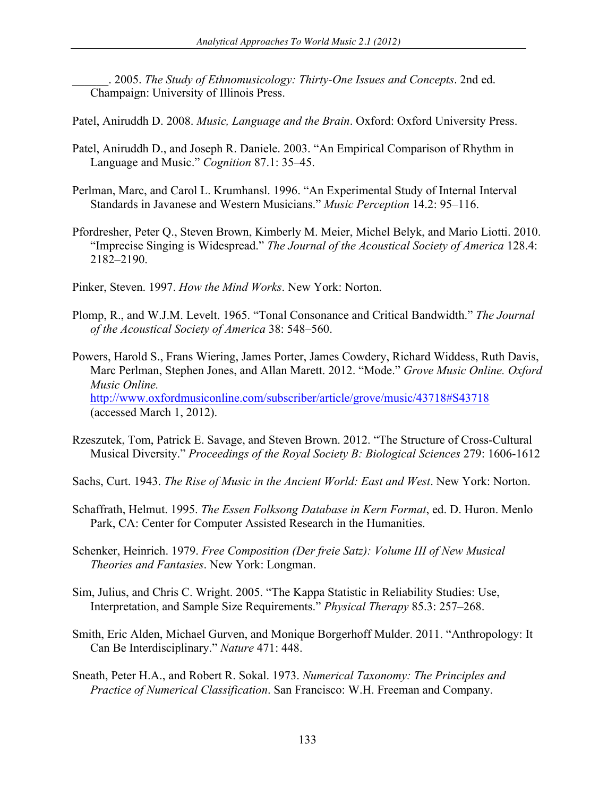\_\_\_\_\_\_. 2005. *The Study of Ethnomusicology: Thirty-One Issues and Concepts*. 2nd ed. Champaign: University of Illinois Press.

Patel, Aniruddh D. 2008. *Music, Language and the Brain*. Oxford: Oxford University Press.

- Patel, Aniruddh D., and Joseph R. Daniele. 2003. "An Empirical Comparison of Rhythm in Language and Music." *Cognition* 87.1: 35–45.
- Perlman, Marc, and Carol L. Krumhansl. 1996. "An Experimental Study of Internal Interval Standards in Javanese and Western Musicians." *Music Perception* 14.2: 95–116.
- Pfordresher, Peter Q., Steven Brown, Kimberly M. Meier, Michel Belyk, and Mario Liotti. 2010. "Imprecise Singing is Widespread." *The Journal of the Acoustical Society of America* 128.4: 2182–2190.

Pinker, Steven. 1997. *How the Mind Works*. New York: Norton.

- Plomp, R., and W.J.M. Levelt. 1965. "Tonal Consonance and Critical Bandwidth." *The Journal of the Acoustical Society of America* 38: 548–560.
- Powers, Harold S., Frans Wiering, James Porter, James Cowdery, Richard Widdess, Ruth Davis, Marc Perlman, Stephen Jones, and Allan Marett. 2012. "Mode." *Grove Music Online. Oxford Music Online.*  http://www.oxfordmusiconline.com/subscriber/article/grove/music/43718#S43718 (accessed March 1, 2012).
- Rzeszutek, Tom, Patrick E. Savage, and Steven Brown. 2012. "The Structure of Cross-Cultural Musical Diversity." *Proceedings of the Royal Society B: Biological Sciences* 279: 1606-1612

Sachs, Curt. 1943. *The Rise of Music in the Ancient World: East and West*. New York: Norton.

- Schaffrath, Helmut. 1995. *The Essen Folksong Database in Kern Format*, ed. D. Huron. Menlo Park, CA: Center for Computer Assisted Research in the Humanities.
- Schenker, Heinrich. 1979. *Free Composition (Der freie Satz): Volume III of New Musical Theories and Fantasies*. New York: Longman.
- Sim, Julius, and Chris C. Wright. 2005. "The Kappa Statistic in Reliability Studies: Use, Interpretation, and Sample Size Requirements." *Physical Therapy* 85.3: 257–268.
- Smith, Eric Alden, Michael Gurven, and Monique Borgerhoff Mulder. 2011. "Anthropology: It Can Be Interdisciplinary." *Nature* 471: 448.
- Sneath, Peter H.A., and Robert R. Sokal. 1973. *Numerical Taxonomy: The Principles and Practice of Numerical Classification*. San Francisco: W.H. Freeman and Company.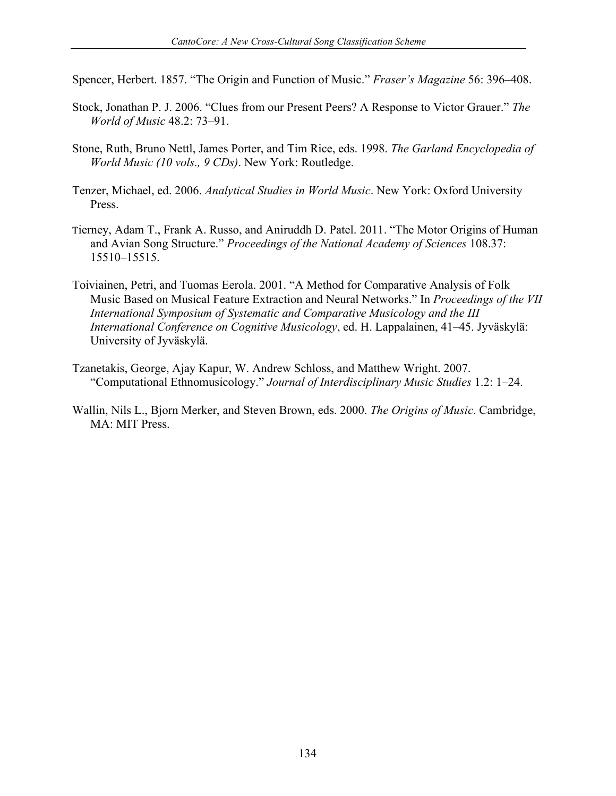Spencer, Herbert. 1857. "The Origin and Function of Music." *Fraser's Magazine* 56: 396–408.

- Stock, Jonathan P. J. 2006. "Clues from our Present Peers? A Response to Victor Grauer." *The World of Music* 48.2: 73–91.
- Stone, Ruth, Bruno Nettl, James Porter, and Tim Rice, eds. 1998. *The Garland Encyclopedia of World Music (10 vols., 9 CDs)*. New York: Routledge.
- Tenzer, Michael, ed. 2006. *Analytical Studies in World Music*. New York: Oxford University Press.
- Tierney, Adam T., Frank A. Russo, and Aniruddh D. Patel. 2011. "The Motor Origins of Human and Avian Song Structure." *Proceedings of the National Academy of Sciences* 108.37: 15510–15515.
- Toiviainen, Petri, and Tuomas Eerola. 2001. "A Method for Comparative Analysis of Folk Music Based on Musical Feature Extraction and Neural Networks." In *Proceedings of the VII International Symposium of Systematic and Comparative Musicology and the III International Conference on Cognitive Musicology*, ed. H. Lappalainen, 41–45. Jyväskylä: University of Jyväskylä.
- Tzanetakis, George, Ajay Kapur, W. Andrew Schloss, and Matthew Wright. 2007. "Computational Ethnomusicology." *Journal of Interdisciplinary Music Studies* 1.2: 1–24.
- Wallin, Nils L., Bjorn Merker, and Steven Brown, eds. 2000. *The Origins of Music*. Cambridge, MA: MIT Press.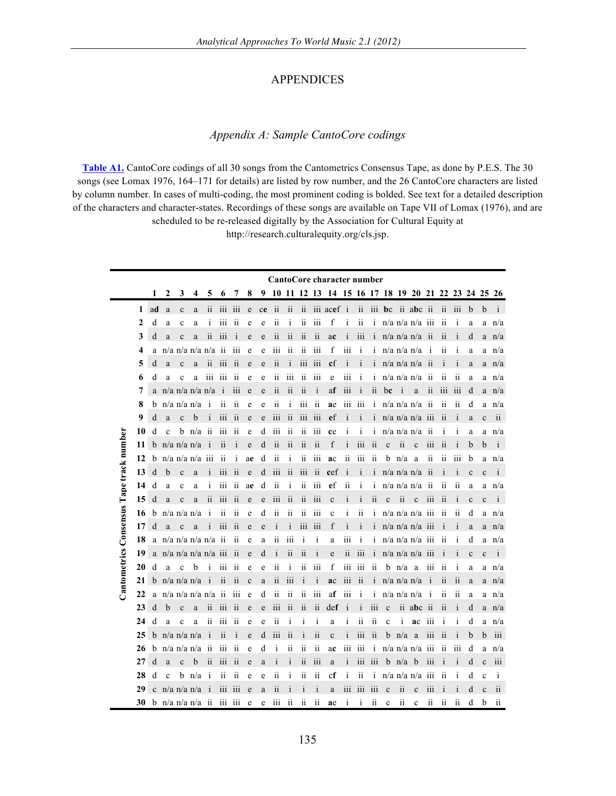## APPENDICES

#### *Appendix A: Sample CantoCore codings*

**[Table A1.](http://www.aawmjournal.com/examples/2012a/Savage_AAWM_Table_A1.pdf)** CantoCore codings of all 30 songs from the Cantometrics Consensus Tape, as done by P.E.S. The 30 songs (see Lomax 1976, 164–171 for details) are listed by row number, and the 26 CantoCore characters are listed by column number. In cases of multi-coding, the most prominent coding is bolded. See text for a detailed description of the characters and character-states. Recordings of these songs are available on Tape VII of Lomax (1976), and are scheduled to be re-released digitally by the Association for Cultural Equity at

http://research.culturalequity.org/cls.jsp.

|                                          |    |             |              |                    |     |                         |                  |                         |             |    |                  |                         |                         |                  | CantoCore character number |                          |                          |                         |              |                 |                         |                  |                         |                         |              |              |                         |
|------------------------------------------|----|-------------|--------------|--------------------|-----|-------------------------|------------------|-------------------------|-------------|----|------------------|-------------------------|-------------------------|------------------|----------------------------|--------------------------|--------------------------|-------------------------|--------------|-----------------|-------------------------|------------------|-------------------------|-------------------------|--------------|--------------|-------------------------|
|                                          |    | 1           | 2            | 3                  | 4   | 5                       | 6                | 7                       | 8           | 9  | 10               |                         | 11 12 13                |                  | -14                        |                          |                          |                         |              |                 | 15 16 17 18 19 20 21 22 |                  |                         | 23 24 25                |              |              | 26                      |
|                                          | 1  | ad          | $\mathbf{a}$ | $\mathbf c$        | a   | ii                      | iii              | iii                     | e           | ce | ii               | ii                      | ii                      |                  | iii acef i                 |                          | $\overline{\mathbf{ii}}$ | iii                     | bc           |                 | ii abc ii               |                  | ii                      | iii                     | b            | b            | $\mathbf{i}$            |
|                                          | 2  | d           | a            | $\mathbf c$        | a   | i                       | iii              | $\overline{\mathbf{u}}$ | e           | e  | ii               | i                       | $\mathbf{ii}$           | iii              | f                          | j                        | ii                       | i                       |              |                 | $n/a$ n/a n/a           | $\overline{111}$ | $\overline{\mathbf{u}}$ | i                       | a            | a            | n/a                     |
|                                          | 3  | d           | a            | $\mathbf{c}$       | a   | $\overline{\mathbf{u}}$ | $\overline{111}$ | i                       | e           | e  | ii               | $\overline{\mathbf{i}}$ | $\overline{\mathbf{i}}$ | $\overline{11}$  | ac                         |                          | iii                      |                         |              |                 | $n/a$ n/a n/a           | $\overline{11}$  | $\overline{11}$         | i                       | d            | a            | n/a                     |
|                                          | 4  | a           |              | $n/a$ n/a n/a n/a  |     |                         | ii               | iii                     | e           | e  | 111              | ii                      | ii                      | iii              | f                          | iii                      | i                        | $\mathbf{1}$            |              |                 | $n/a$ n/a n/a           | i                | 11                      | 1                       | a            | a            | n/a                     |
|                                          | 5  | d           | a            | $\mathbf{c}$       | a   | $\overline{\mathbf{u}}$ | 111              | $\overline{11}$         | e           | e  | ii               | i                       | 111                     | iii              | cf                         | $\mathbf{i}$             | $\mathbf{1}$             | $\mathbf{1}$            |              |                 | $n/a$ n/a n/a           | 11               | $\mathbf i$             | 1                       | a            | a            | n/a                     |
|                                          | 6  | d           | a            | $\mathbf c$        | a   | iii                     | $\overline{111}$ | $\overline{11}$         | e           | e  | ii               | 111                     | ii                      | iii              | e                          | iii                      | $\mathbf{1}$             | 1                       |              |                 | $n/a$ n/a n/a           | $\overline{11}$  | $\overline{11}$         | ii                      | a            | a            | n/a                     |
|                                          | 7  | a           |              | $n/a$ n/a n/a n/a  |     |                         | $\mathbf{i}$     | 111                     | e           | e  | ii               | $\overline{\mathbf{1}}$ | ii                      | $\mathbf{i}$     | af                         | iii                      | i                        | ii                      | bc           | j               | a                       | $\overline{11}$  | 111                     | 111                     | d            | a            | n/a                     |
|                                          | 8  | b           |              | $n/a$ n/a n/a      |     | i                       | $\overline{11}$  | ii                      | e           | e  | ii               | i                       | iii                     | ii               | ae                         | iii                      | iii                      | i                       |              |                 | n/a n/a n/a             | ii               | ii                      | ii                      | d            | a            | n/a                     |
|                                          | 9  | d           | a            | $\mathbf{c}$       | b   |                         | $\overline{111}$ | $\overline{11}$         | e           | e  | $\overline{111}$ | ii                      | iii                     | iii              | ef                         |                          |                          |                         |              |                 | $n/a$ $n/a$ $n/a$       | 111              | $\overline{11}$         | İ                       | a            | $\mathbf{c}$ | ii                      |
|                                          | 10 | d           | c            | b                  | n/a | $\overline{\mathbf{u}}$ | 111              | $\overline{11}$         | e           | d  | 111              | ii                      | ii                      | iii              | ce                         | 1                        | 1                        | 1                       |              |                 | n/a n/a n/a             | ii               | $\mathbf{1}$            | $\mathbf{1}$            | a            | a            | n/a                     |
|                                          | 11 | b           |              | $n/a$ n/a n/a      |     |                         | ii               | $\mathbf{i}$            | e           | d  | ii               | ii                      | ii                      | ii               | f                          |                          | iii                      | $\overline{11}$         | $\mathbf c$  | ii              | C                       | $\overline{111}$ | $\overline{11}$         | 1                       | b            | $\mathbf b$  | $\mathbf{i}$            |
|                                          | 12 | b           |              | $n/a$ n/a n/a      |     | iii                     | ii               | ī                       | ae          | d  | ii               | İ                       | ii                      | iii              | ac                         | ii                       | iii                      | $\overline{\mathbf{u}}$ | b            | n/a             | a                       | ii               | $\overline{11}$         | 111                     | $\mathbf b$  | a            | n/a                     |
|                                          | 13 | d           | b            | $\mathbf{c}$       | a   |                         | $\overline{111}$ | $\overline{11}$         | e           | d  | iii              | ii                      | iii                     | $\overline{11}$  | cef                        |                          |                          |                         |              |                 | $n/a$ $n/a$ $n/a$       | ii               |                         |                         | $\mathbf c$  | $\mathbf{c}$ | $\mathbf{i}$            |
|                                          | 14 | d           | a            | $\mathbf c$        | a   | $\mathbf{1}$            | iii              | $\overline{\mathbf{u}}$ | ae          | d  | ii               | i                       | ii                      | iii              | ef                         | ii                       | i                        | 1                       |              |                 | $n/a$ n/a n/a           | ii               | $\overline{11}$         | $\overline{\mathbf{u}}$ | a            | a            | n/a                     |
| Cantometrics Consensus Tape track number | 15 | d           | a            | $\mathbf{c}$       | a   | $\overline{11}$         | $\overline{111}$ | $\overline{11}$         | e           | e  | 111              | ii                      | $\overline{\mathbf{i}}$ | iii              | $\mathbf c$                | i                        | $\mathbf{i}$             | ii                      | $\mathbf{c}$ | ii              | $\mathbf{c}$            | 111              | $\overline{11}$         | $\mathbf{1}$            | $\mathbf{c}$ | $\mathbf c$  | $\mathbf{i}$            |
|                                          | 16 | b           |              | $n/a$ n/a n/a      |     | i                       | $\overline{11}$  | $\overline{11}$         | e           | d  | ii               | ii                      | ii                      | $\overline{111}$ | $\mathbf{c}$               | $\mathbf{1}$             | $\overline{11}$          | İ                       |              |                 | n/a n/a n/a             | iii              | $\overline{11}$         | $\overline{11}$         | d            | a            | n/a                     |
|                                          | 17 | d           | a            | $\mathbf c$        | a   | i                       | 111              | $\overline{11}$         | e           | e  | İ                | $\mathbf{i}$            | 111                     | $\overline{111}$ | f                          | $\overline{1}$           | İ                        |                         |              |                 | $n/a$ n/a n/a iii       |                  | $\mathbf i$             | $\mathbf{1}$            | a            | a            | n/a                     |
|                                          | 18 | a           |              | $n/a$ n/a n/a n/a  |     |                         | ii               | ii                      | e           | a  | ii               | iii                     | $\mathbf i$             | $\mathbf{i}$     | a                          | iii                      | $\mathbf{1}$             | $\mathbf{1}$            |              |                 | $n/a$ $n/a$ $n/a$       | $\overline{111}$ | $\overline{11}$         | 1                       | d            | a            | n/a                     |
|                                          | 19 | a           |              | $n/a$ n/a n/a n/a  |     |                         | 111              | $\overline{\mathbf{u}}$ | e           | d  | i                | ii                      | ii                      | i                | e                          | $\overline{\mathbf{ii}}$ | iii                      | i                       |              |                 | $n/a$ n/a n/a iii       |                  |                         | İ                       | $\mathbf c$  | $\mathbf c$  | $\mathbf{i}$            |
|                                          | 20 | d           | a            | $\mathbf c$        | b   | ī                       | 111              | $\overline{11}$         | e           | e  | ii               | i                       | ii                      | 111              | f                          | iii                      | iii                      | $\overline{11}$         | b            | n/a             | a                       | 111              | $\overline{11}$         | $\mathbf i$             | a            | a            | n/a                     |
|                                          | 21 | b           |              | $n/a$ n/a n/a      |     | i                       | $\overline{11}$  | $\overline{11}$         | $\mathbf c$ | a  | ii               | iii                     | $\mathbf i$             | $\mathbf{i}$     | ac                         | iii                      | $\overline{11}$          | $\mathbf{1}$            |              |                 | $n/a$ n/a n/a           | $\mathbf{1}$     | $\overline{\mathbf{u}}$ | $\overline{11}$         | a            | a            | n/a                     |
|                                          | 22 | a           |              | $n/a$ n/a n/a n/a  |     |                         | $\overline{11}$  | 111                     | e           | d  | $\overline{11}$  | ii                      | ii                      | $\overline{111}$ | af                         | 111                      | $\mathbf i$              | ī                       |              |                 | $n/a$ n/a n/a           | $\mathbf{1}$     | $\overline{11}$         | $\overline{11}$         | a            | a            | n/a                     |
|                                          | 23 | d           | b            | $\mathbf{c}$       | a   | ii                      | iii              | $\overline{11}$         | e           | e  | $\overline{111}$ | ii                      | ii                      | ii               | def                        |                          | j                        | $\overline{111}$        | $\mathbf c$  | ii.             | abc                     | ii               | $\overline{11}$         | 1                       | d            | a            | n/a                     |
|                                          | 24 | d           | a            | $\mathbf c$        | a   | ii                      | iii              | $\overline{\mathbf{u}}$ | e           | e  | $\mathbf{ii}$    | i                       | i                       | $\mathbf{i}$     | a                          | $\bf{1}$                 | ii                       | ii                      | $\mathbf c$  | i               | ac                      | iii              | i                       | 1                       | d            | a            | n/a                     |
|                                          | 25 | b           |              | $n/a$ n/a n/a      |     | i                       | ii               | i                       | e           | d  | 111              | ii                      | i                       | ii               | $\mathbf c$                | i                        | iii                      | ii                      | b            | n/a             | a                       | iii              | $\overline{11}$         | $\mathbf{1}$            | b            | b            | iii                     |
|                                          | 26 | b           |              | $n/a$ n/a n/a      |     | $\overline{11}$         | 111              | $\overline{11}$         | e           | d  | 1                | 11                      | $\overline{11}$         | $\overline{11}$  | ac                         | 111                      | 111                      | $\mathbf{1}$            |              |                 | $n/a$ n/a n/a           | iii              | 11                      | 111                     | d            | a            | n/a                     |
|                                          | 27 | d           | a            | $\mathbf c$        | b   | $\overline{11}$         | 111              | $\overline{11}$         | e           | a  | 1                | $\mathbf{i}$            | $\overline{11}$         | iii              | a                          | $\mathbf{1}$             | $\overline{111}$         | 111                     | b            | n/a             | b                       | 111              | $\mathbf i$             | $\mathbf{1}$            | d            | $\mathbf{c}$ | $\overline{111}$        |
|                                          | 28 | d           | $\mathbf c$  | b                  | n/a | i                       | ii               | $\overline{\mathbf{u}}$ | e           | e  | ii               | i                       | ii                      | $\mathbf{ii}$    | cf                         | $\mathbf{i}$             | ii                       | $\mathbf{i}$            |              |                 | $n/a$ n/a n/a           | 111              | 11                      | $\mathbf{1}$            | d            | $\mathbf c$  | $\mathbf{i}$            |
|                                          | 29 | $\mathbf c$ |              | $n/a$ n/a n/a      |     |                         | iii              | iii                     | e           | a  | ii               |                         | i                       | $\mathbf{i}$     | a                          | iii                      | iii                      | iii                     | $\mathbf c$  | ii              | $\mathbf{c}$            | iii              | i                       | i                       | d            | $\mathbf c$  | $\overline{\mathbf{u}}$ |
|                                          | 30 |             |              | $b$ n/a n/a n/a ii |     |                         | 111              | 111                     | e           | e  | 111              | $\overline{11}$         | $\overline{11}$         | ii               | ae                         | $\mathbf{1}$             | $\mathbf{1}$             | $\overline{11}$         | $\mathbf c$  | $\overline{11}$ | c                       | $\overline{11}$  | $\overline{11}$         | $\overline{11}$         | d            | b            | $\overline{11}$         |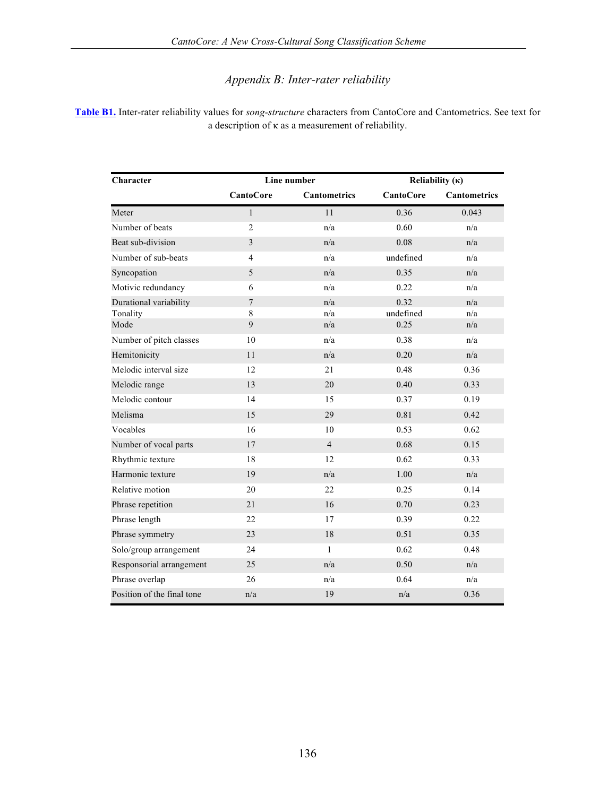# *Appendix B: Inter-rater reliability*

**[Table B1.](http://www.aawmjournal.com/examples/2012a/Savage_AAWM_Table_B1.pdf)** Inter-rater reliability values for *song-structure* characters from CantoCore and Cantometrics. See text for a description of κ as a measurement of reliability.

| Character                          |                     | Line number         | Reliability $(\kappa)$ |                     |  |  |  |  |
|------------------------------------|---------------------|---------------------|------------------------|---------------------|--|--|--|--|
|                                    | <b>CantoCore</b>    | <b>Cantometrics</b> | <b>CantoCore</b>       | <b>Cantometrics</b> |  |  |  |  |
| Meter                              | $\mathbf{1}$        | 11                  | 0.36                   | 0.043               |  |  |  |  |
| Number of beats                    | $\overline{2}$      | n/a                 | 0.60                   | n/a                 |  |  |  |  |
| Beat sub-division                  | 3                   | n/a                 | 0.08                   | n/a                 |  |  |  |  |
| Number of sub-beats                | $\overline{4}$      | n/a                 | undefined              | n/a                 |  |  |  |  |
| Syncopation                        | 5                   | n/a                 | 0.35                   | n/a                 |  |  |  |  |
| Motivic redundancy                 | 6                   | n/a                 | 0.22                   | n/a                 |  |  |  |  |
| Durational variability<br>Tonality | $\overline{7}$<br>8 | n/a<br>n/a          | 0.32<br>undefined      | n/a<br>n/a          |  |  |  |  |
| Mode                               | 9                   | n/a                 | 0.25                   | n/a                 |  |  |  |  |
| Number of pitch classes            | 10                  | n/a                 | 0.38                   | n/a                 |  |  |  |  |
| Hemitonicity                       | 11                  | n/a                 | 0.20                   | n/a                 |  |  |  |  |
| Melodic interval size              | 12                  | 21                  | 0.48                   | 0.36                |  |  |  |  |
| Melodic range                      | 13                  | 20                  | 0.40                   | 0.33                |  |  |  |  |
| Melodic contour                    | 14                  | 15                  | 0.37                   | 0.19                |  |  |  |  |
| Melisma                            | 15                  | 29                  | 0.81                   | 0.42                |  |  |  |  |
| Vocables                           | 16                  | 10                  | 0.53                   | 0.62                |  |  |  |  |
| Number of vocal parts              | 17                  | $\overline{4}$      | 0.68                   | 0.15                |  |  |  |  |
| Rhythmic texture                   | 18                  | 12                  | 0.62                   | 0.33                |  |  |  |  |
| Harmonic texture                   | 19                  | n/a                 | 1.00                   | n/a                 |  |  |  |  |
| Relative motion                    | 20                  | 22                  | 0.25                   | 0.14                |  |  |  |  |
| Phrase repetition                  | 21                  | 16                  | 0.70                   | 0.23                |  |  |  |  |
| Phrase length                      | 22                  | 17                  | 0.39                   | 0.22                |  |  |  |  |
| Phrase symmetry                    | 23                  | 18                  | 0.51                   | 0.35                |  |  |  |  |
| Solo/group arrangement             | 24                  | $\mathbf{1}$        | 0.62                   | 0.48                |  |  |  |  |
| Responsorial arrangement           | 25                  | n/a                 | 0.50                   | n/a                 |  |  |  |  |
| Phrase overlap                     | 26                  | n/a                 | 0.64                   | n/a                 |  |  |  |  |
| Position of the final tone         | n/a                 | 19                  | n/a                    | 0.36                |  |  |  |  |